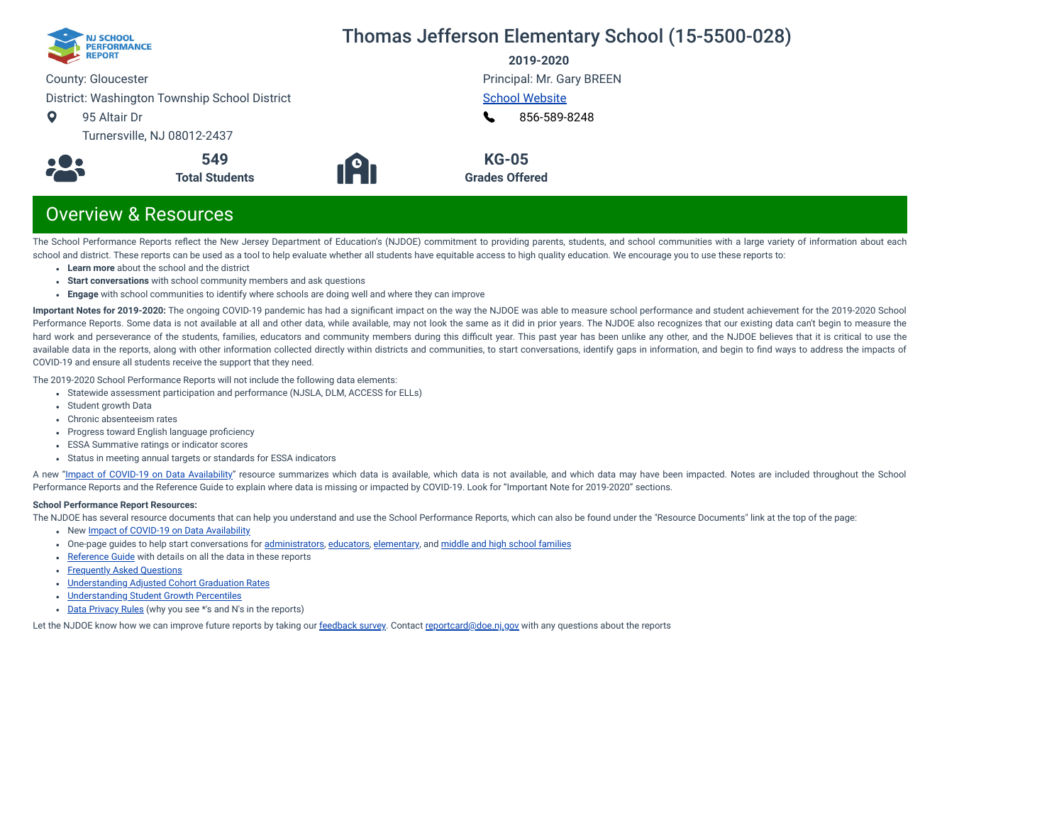

# Thomas Jefferson Elementary School (15-5500-028)

**2019-2020**

County: Gloucester

District: Washington Township School District

 $\bullet$ 95 Altair Dr

Turnersville, NJ 08012-2437



Principal: Mr. Gary BREEN [School Website](https://www.wtps.org/Domain/12) [856-589-8248](tel:+856-589-8248) L

**KG-05 Grades Offered**

# Overview & Resources

The School Performance Reports reflect the New Jersey Department of Education's (NJDOE) commitment to providing parents, students, and school communities with a large variety of information about each school and district. These reports can be used as a tool to help evaluate whether all students have equitable access to high quality education. We encourage you to use these reports to:

- **Learn more** about the school and the district
- **Start conversations** with school community members and ask questions

**549 Total Students**

**Engage** with school communities to identify where schools are doing well and where they can improve

**Important Notes for 2019-2020:** The ongoing COVID-19 pandemic has had a signicant impact on the way the NJDOE was able to measure school performance and student achievement for the 2019-2020 School Performance Reports. Some data is not available at all and other data, while available, may not look the same as it did in prior years. The NJDOE also recognizes that our existing data can't begin to measure the hard work and perseverance of the students, families, educators and community members during this difficult year. This past year has been unlike any other, and the NJDOE believes that it is critical to use the available data in the reports, along with other information collected directly within districts and communities, to start conversations, identify gaps in information, and begin to find ways to address the impacts of COVID-19 and ensure all students receive the support that they need.

The 2019-2020 School Performance Reports will not include the following data elements:

- Statewide assessment participation and performance (NJSLA, DLM, ACCESS for ELLs)
- Student growth Data
- Chronic absenteeism rates
- Progress toward English language proficiency
- ESSA Summative ratings or indicator scores
- Status in meeting annual targets or standards for ESSA indicators

A new "Impact of [COVID-19 on](https://www.nj.gov/education/schoolperformance/resources/docs/2019-20%20School%20Performance%20Reports%20-%20Impact%20of%20COVID-19%20on%20Data%20Availability.pdf) Data Availability" resource summarizes which data is available, which data is not available, and which data may have been impacted. Notes are included throughout the School Performance Reports and the Reference Guide to explain where data is missing or impacted by COVID-19. Look for "Important Note for 2019-2020" sections.

### **School Performance Report Resources:**

The NJDOE has several resource documents that can help you understand and use the School Performance Reports, which can also be found under the "Resource Documents" link at the top of the page:

- New Impact of [COVID-19 on](https://www.nj.gov/education/schoolperformance/resources/docs/2019-20%20School%20Performance%20Reports%20-%20Impact%20of%20COVID-19%20on%20Data%20Availability.pdf) Data Availability
- One-page guides to help start conversations for [administrators](https://www.nj.gov/education/schoolperformance/resources/docs/2019-20%20School%20Performance%20Reports%20-%20One-Page%20Guides%20-%20Administrators.pdf), [educators](https://www.nj.gov/education/schoolperformance/resources/docs/2019-20%20School%20Performance%20Reports%20-%20One-Page%20Guides%20-%20Educators.pdf), [elementary](https://www.nj.gov/education/schoolperformance/resources/docs/2019-20%20School%20Performance%20Reports%20-%20One-Page%20Guides%20-%20FamiliesCommunities.pdf), and middle and high school [families](https://www.nj.gov/education/schoolperformance/resources/docs/2019-20%20School%20Performance%20Reports%20-%20One-Page%20Guides%20-%20MS%20and%20HS.pdf)
- [Reference](https://rc.doe.state.nj.us/Documents/1920/ReferenceGuide.pdf) Guide with details on all the data in these reports
- [Frequently](https://rc.doe.state.nj.us/Documents/1920/FAQs.pdf) Asked Questions
- [Understanding](https://www.nj.gov/education/schoolperformance/grad/docs/Understanding%20Adjusted%20Cohort%20Graduation%20Rates.pdf) Adjusted Cohort Graduation Rates
- [Understanding](https://www.nj.gov/education/schoolperformance/growth/Understanding%20Median%20Student%20Growth%20Percentiles.pdf) Student Growth Percentiles
- Data [Privacy](https://rc.doe.state.nj.us/Documents/1920/DataPrivacyRules.pdf) Rules (why you see \*'s and N's in the reports)

Let the NJDOE know how we can improve future reports by taking our [feedback](https://www.surveymonkey.com/r/2019-20SPR) survey. Contact [reportcard@doe.nj.gov](mailto:reportcard@doe.nj.gov) with any questions about the reports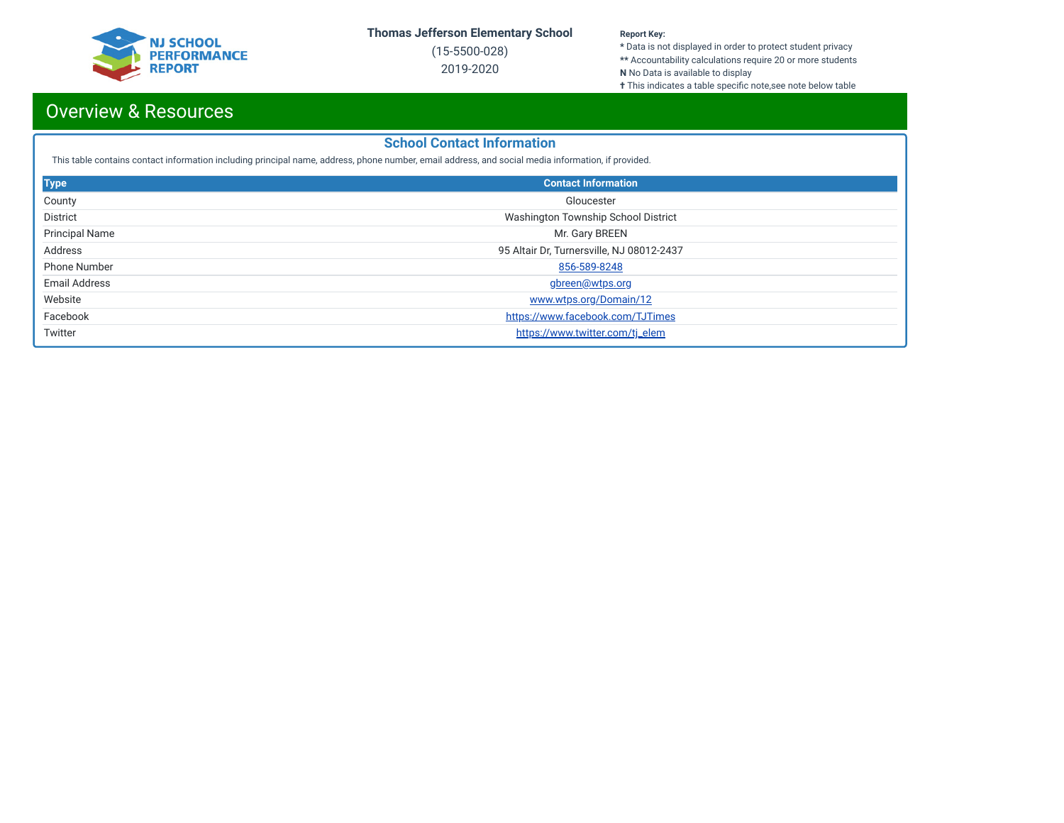

(15-5500-028) 2019-2020

#### **Report Key:**

**\*** Data is not displayed in order to protect student privacy **\*\*** Accountability calculations require 20 or more students **N** No Data is available to display

**†** This indicates a table specific note,see note below table

# Overview & Resources

# **School Contact Information**

This table contains contact information including principal name, address, phone number, email address, and social media information, if provided.

| <b>Type</b>           | <b>Contact Information</b>                |  |  |  |
|-----------------------|-------------------------------------------|--|--|--|
| County                | Gloucester                                |  |  |  |
| District              | Washington Township School District       |  |  |  |
| <b>Principal Name</b> | Mr. Gary BREEN                            |  |  |  |
| Address               | 95 Altair Dr, Turnersville, NJ 08012-2437 |  |  |  |
| <b>Phone Number</b>   | 856-589-8248                              |  |  |  |
| Email Address         | gbreen@wtps.org                           |  |  |  |
| Website               | www.wtps.org/Domain/12                    |  |  |  |
| Facebook              | https://www.facebook.com/TJTimes          |  |  |  |
| Twitter               | https://www.twitter.com/tj_elem           |  |  |  |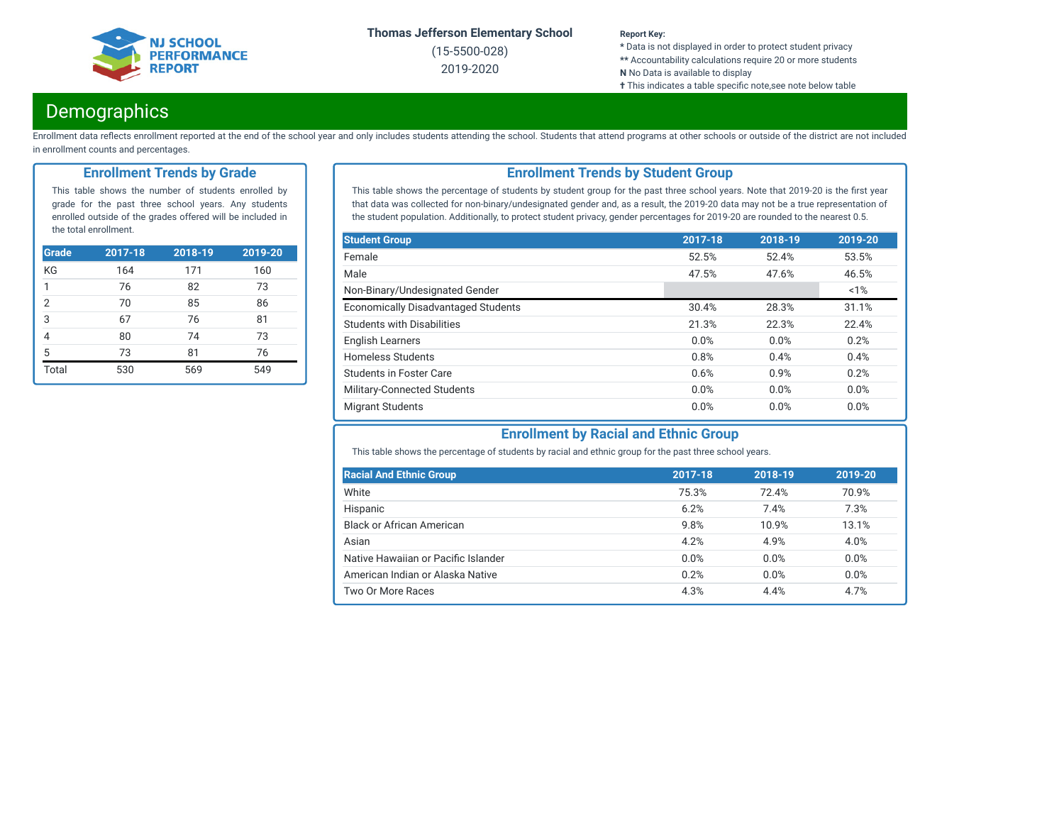

(15-5500-028) 2019-2020

#### **Report Key:**

**\*** Data is not displayed in order to protect student privacy **\*\*** Accountability calculations require 20 or more students **N** No Data is available to display

**†** This indicates a table specific note,see note below table

# **Demographics**

Enrollment data reflects enrollment reported at the end of the school year and only includes students attending the school. Students that attend programs at other schools or outside of the district are not included in enrollment counts and percentages.

## **Enrollment Trends by Grade**

This table shows the number of students enrolled by grade for the past three school years. Any students enrolled outside of the grades offered will be included in the total enrollment.

| <b>Grade</b>   | 2017-18 | 2018-19 | 2019-20 |
|----------------|---------|---------|---------|
| KG             | 164     | 171     | 160     |
| $\mathbf{1}$   | 76      | 82      | 73      |
| $\overline{2}$ | 70      | 85      | 86      |
| $\overline{3}$ | 67      | 76      | 81      |
| $\overline{4}$ | 80      | 74      | 73      |
| 5              | 73      | 81      | 76      |
| Total          | 530     | 569     | 549     |

# **Enrollment Trends by Student Group**

This table shows the percentage of students by student group for the past three school years. Note that 2019-20 is the first year that data was collected for non-binary/undesignated gender and, as a result, the 2019-20 data may not be a true representation of the student population. Additionally, to protect student privacy, gender percentages for 2019-20 are rounded to the nearest 0.5.

| <b>Student Group</b>                       | 2017-18 | 2018-19 | 2019-20 |
|--------------------------------------------|---------|---------|---------|
| Female                                     | 52.5%   | 52.4%   | 53.5%   |
| Male                                       | 47.5%   | 47.6%   | 46.5%   |
| Non-Binary/Undesignated Gender             |         |         | 1%      |
| <b>Economically Disadvantaged Students</b> | 30.4%   | 28.3%   | 31.1%   |
| <b>Students with Disabilities</b>          | 21.3%   | 22.3%   | 22.4%   |
| <b>English Learners</b>                    | 0.0%    | 0.0%    | 0.2%    |
| <b>Homeless Students</b>                   | 0.8%    | 0.4%    | 0.4%    |
| Students in Foster Care                    | 0.6%    | 0.9%    | 0.2%    |
| Military-Connected Students                | 0.0%    | 0.0%    | 0.0%    |
| <b>Migrant Students</b>                    | 0.0%    | 0.0%    | 0.0%    |

# **Enrollment by Racial and Ethnic Group**

This table shows the percentage of students by racial and ethnic group for the past three school years.

| <b>Racial And Ethnic Group</b>      | 2017-18 | 2018-19 | 2019-20 |
|-------------------------------------|---------|---------|---------|
| White                               | 75.3%   | 72.4%   | 70.9%   |
| Hispanic                            | 6.2%    | 7.4%    | 7.3%    |
| Black or African American           | 9.8%    | 10.9%   | 13.1%   |
| Asian                               | 4.2%    | 4.9%    | 4.0%    |
| Native Hawaiian or Pacific Islander | 0.0%    | 0.0%    | 0.0%    |
| American Indian or Alaska Native    | 0.2%    | 0.0%    | 0.0%    |
| Two Or More Races                   | 4.3%    | 4.4%    | 4.7%    |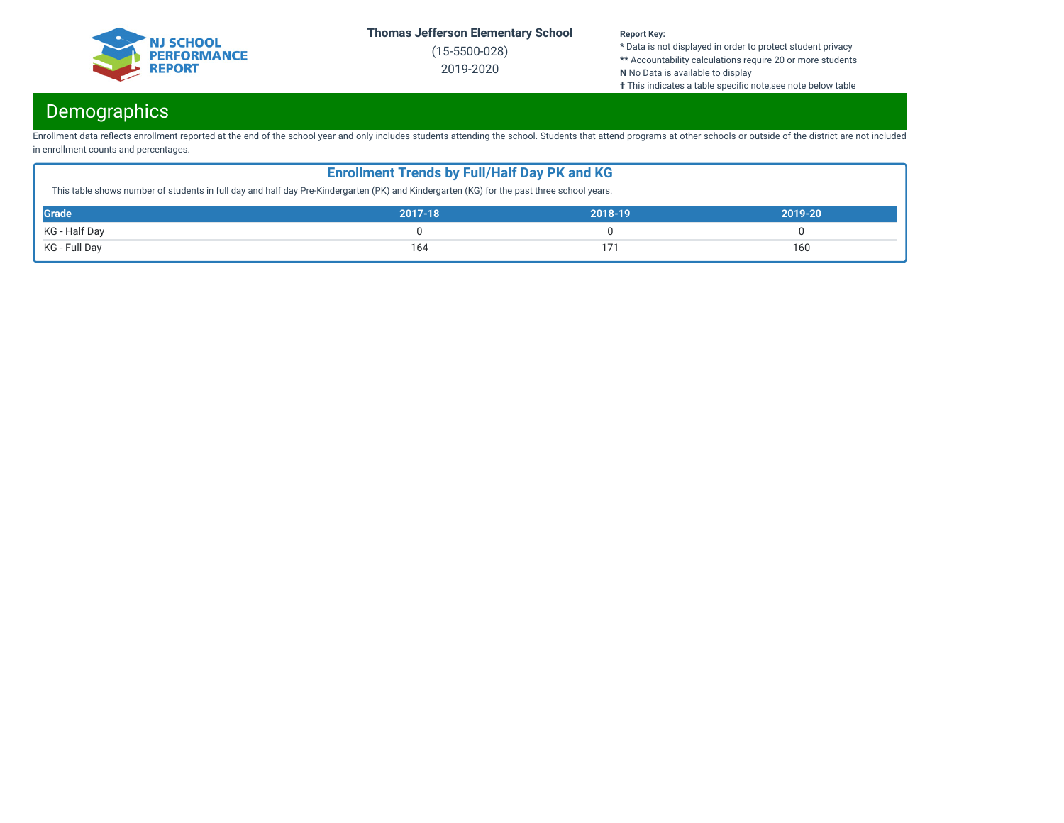

(15-5500-028) 2019-2020

#### **Report Key:**

**\*** Data is not displayed in order to protect student privacy **\*\*** Accountability calculations require 20 or more students **N** No Data is available to display

**†** This indicates a table specific note,see note below table

# Demographics

Enrollment data reflects enrollment reported at the end of the school year and only includes students attending the school. Students that attend programs at other schools or outside of the district are not included in enrollment counts and percentages.

| <b>Enrollment Trends by Full/Half Day PK and KG</b><br>This table shows number of students in full day and half day Pre-Kindergarten (PK) and Kindergarten (KG) for the past three school years. |     |     |     |  |
|--------------------------------------------------------------------------------------------------------------------------------------------------------------------------------------------------|-----|-----|-----|--|
| <b>Grade</b><br>2017-18<br>2018-19<br>2019-20                                                                                                                                                    |     |     |     |  |
| KG - Half Day                                                                                                                                                                                    |     |     |     |  |
| KG - Full Day                                                                                                                                                                                    | 164 | 171 | 160 |  |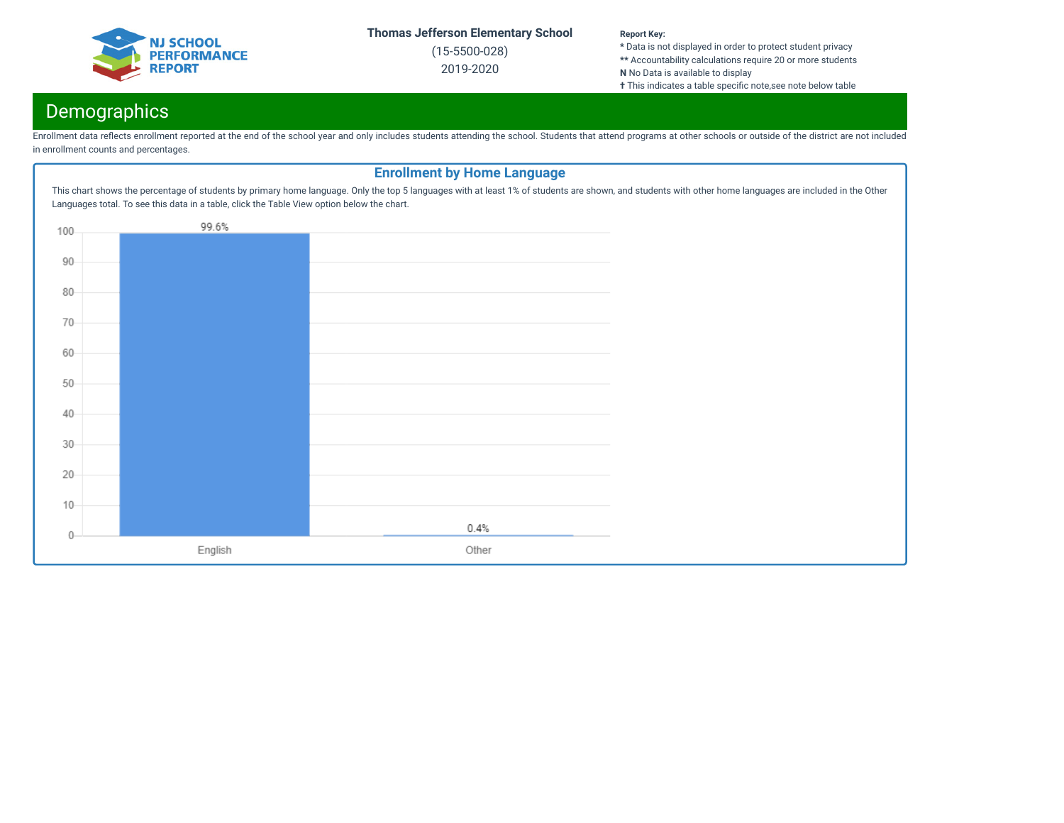

(15-5500-028) 2019-2020

#### **Report Key:**

**\*** Data is not displayed in order to protect student privacy **\*\*** Accountability calculations require 20 or more students **N** No Data is available to display

**†** This indicates a table specific note,see note below table

# Demographics

Enrollment data reflects enrollment reported at the end of the school year and only includes students attending the school. Students that attend programs at other schools or outside of the district are not included in enrollment counts and percentages.

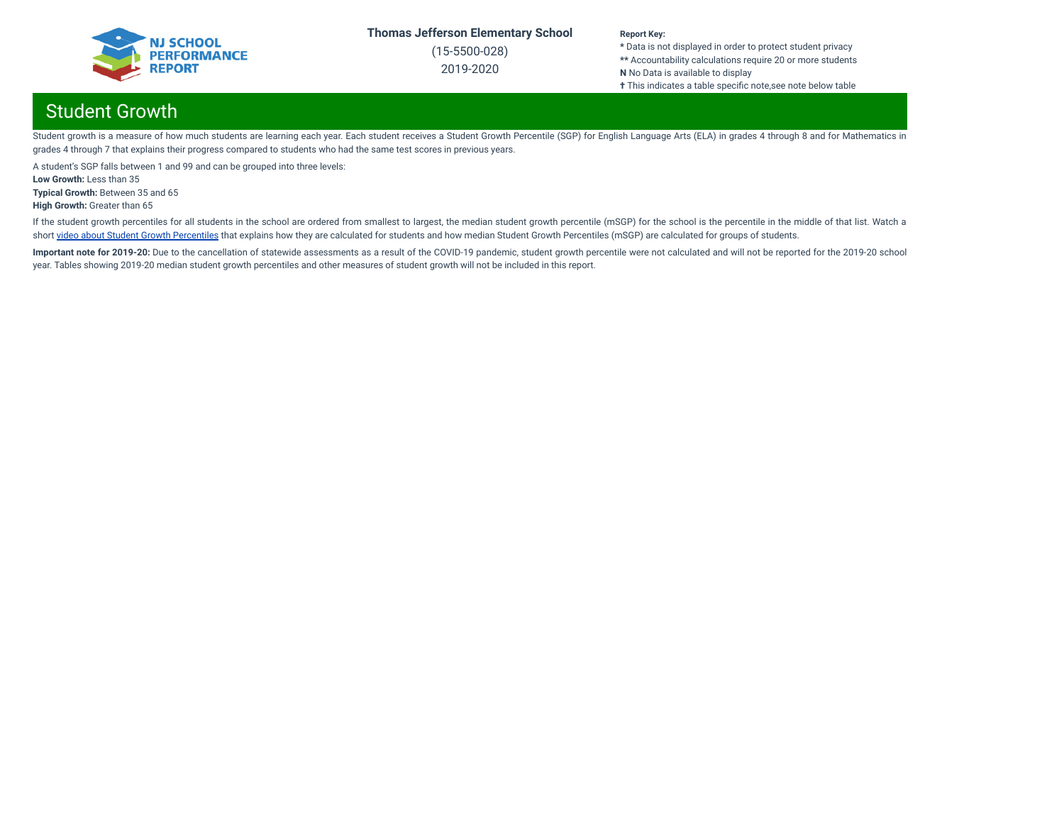# **JJ SCHOOL PERFORMANCE REPORT**

**Thomas Jefferson Elementary School**

(15-5500-028) 2019-2020

#### **Report Key:**

**\*** Data is not displayed in order to protect student privacy **\*\*** Accountability calculations require 20 or more students **N** No Data is available to display **†** This indicates a table specific note, see note below table

# Student Growth

Student growth is a measure of how much students are learning each year. Each student receives a Student Growth Percentile (SGP) for English Language Arts (ELA) in grades 4 through 8 and for Mathematics in grades 4 through 7 that explains their progress compared to students who had the same test scores in previous years.

A student's SGP falls between 1 and 99 and can be grouped into three levels:

**Low Growth:** Less than 35

**Typical Growth:** Between 35 and 65

**High Growth:** Greater than 65

If the student growth percentiles for all students in the school are ordered from smallest to largest, the median student growth percentile (mSGP) for the school is the percentile in the middle of that list. Watch a short video about Student Growth [Percentiles](http://digitallearning.pcgus.com/NJSMART/sgps/story.html) that explains how they are calculated for students and how median Student Growth Percentiles (mSGP) are calculated for groups of students.

Important note for 2019-20: Due to the cancellation of statewide assessments as a result of the COVID-19 pandemic, student growth percentile were not calculated and will not be reported for the 2019-20 school year. Tables showing 2019-20 median student growth percentiles and other measures of student growth will not be included in this report.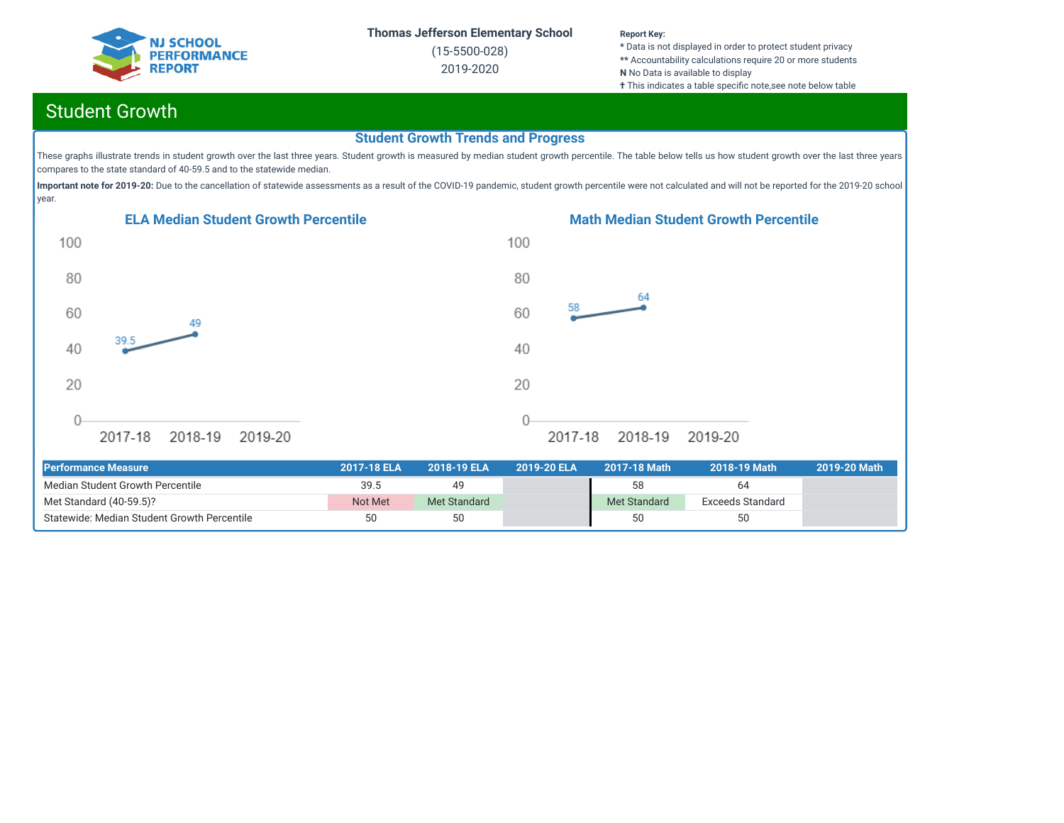

(15-5500-028) 2019-2020

#### **Report Key:**

**\*** Data is not displayed in order to protect student privacy **\*\*** Accountability calculations require 20 or more students **N** No Data is available to display **†** This indicates a table specific note, see note below table

# Student Growth

# **Student Growth Trends and Progress**

These graphs illustrate trends in student growth over the last three years. Student growth is measured by median student growth percentile. The table below tells us how student growth over the last three years compares to the state standard of 40-59.5 and to the statewide median.

Important note for 2019-20: Due to the cancellation of statewide assessments as a result of the COVID-19 pandemic, student growth percentile were not calculated and will not be reported for the 2019-20 school year.





| l Performance Measure \                     | 2017-18 ELA | 2018-19 ELA  | 2019-20 ELA | 2017-18 Math | 2018-19 Math     | 2019-20 Math |
|---------------------------------------------|-------------|--------------|-------------|--------------|------------------|--------------|
| Median Student Growth Percentile            | 39.5        | 49           |             | 58           | 64               |              |
| Met Standard (40-59.5)?                     | Not Met     | Met Standard |             | Met Standard | Exceeds Standard |              |
| Statewide: Median Student Growth Percentile |             | 50           |             | 50           | 50               |              |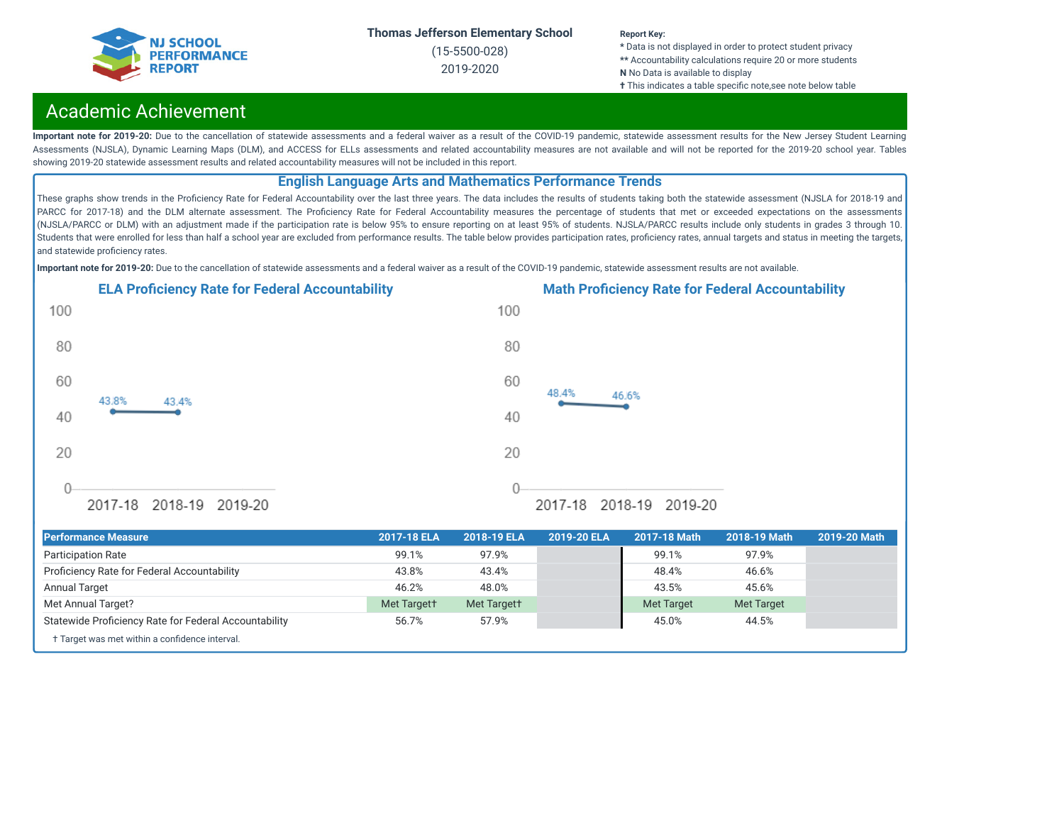

(15-5500-028) 2019-2020

#### **Report Key:**

**\*** Data is not displayed in order to protect student privacy **\*\*** Accountability calculations require 20 or more students **N** No Data is available to display **†** This indicates a table specific note,see note below table

# Academic Achievement

Important note for 2019-20: Due to the cancellation of statewide assessments and a federal waiver as a result of the COVID-19 pandemic, statewide assessment results for the New Jersey Student Learning Assessments (NJSLA), Dynamic Learning Maps (DLM), and ACCESS for ELLs assessments and related accountability measures are not available and will not be reported for the 2019-20 school year. Tables showing 2019-20 statewide assessment results and related accountability measures will not be included in this report.

# **English Language Arts and Mathematics Performance Trends**

These graphs show trends in the Proficiency Rate for Federal Accountability over the last three years. The data includes the results of students taking both the statewide assessment (NJSLA for 2018-19 and PARCC for 2017-18) and the DLM alternate assessment. The Proficiency Rate for Federal Accountability measures the percentage of students that met or exceeded expectations on the assessments (NJSLA/PARCC or DLM) with an adjustment made if the participation rate is below 95% to ensure reporting on at least 95% of students. NJSLA/PARCC results include only students in grades 3 through 10. Students that were enrolled for less than half a school year are excluded from performance results. The table below provides participation rates, proficiency rates, annual targets and status in meeting the targets, and statewide proficiency rates.

**Important note for 2019-20:** Due to the cancellation of statewide assessments and a federal waiver as a result of the COVID-19 pandemic, statewide assessment results are not available.





| <b>Performance Measure</b>                            | 2017-18 ELA | 2018-19 ELA | 2019-20 ELA | 2017-18 Math      | 2018-19 Math      | 2019-20 Math |
|-------------------------------------------------------|-------------|-------------|-------------|-------------------|-------------------|--------------|
| <b>Participation Rate</b>                             | 99.1%       | 97.9%       |             | 99.1%             | 97.9%             |              |
| Proficiency Rate for Federal Accountability           | 43.8%       | 43.4%       |             | 48.4%             | 46.6%             |              |
| <b>Annual Target</b>                                  | 46.2%       | 48.0%       |             | 43.5%             | 45.6%             |              |
| Met Annual Target?                                    | Met Targett | Met Targett |             | <b>Met Target</b> | <b>Met Target</b> |              |
| Statewide Proficiency Rate for Federal Accountability | 56.7%       | 57.9%       |             | 45.0%             | 44.5%             |              |
| † Target was met within a confidence interval.        |             |             |             |                   |                   |              |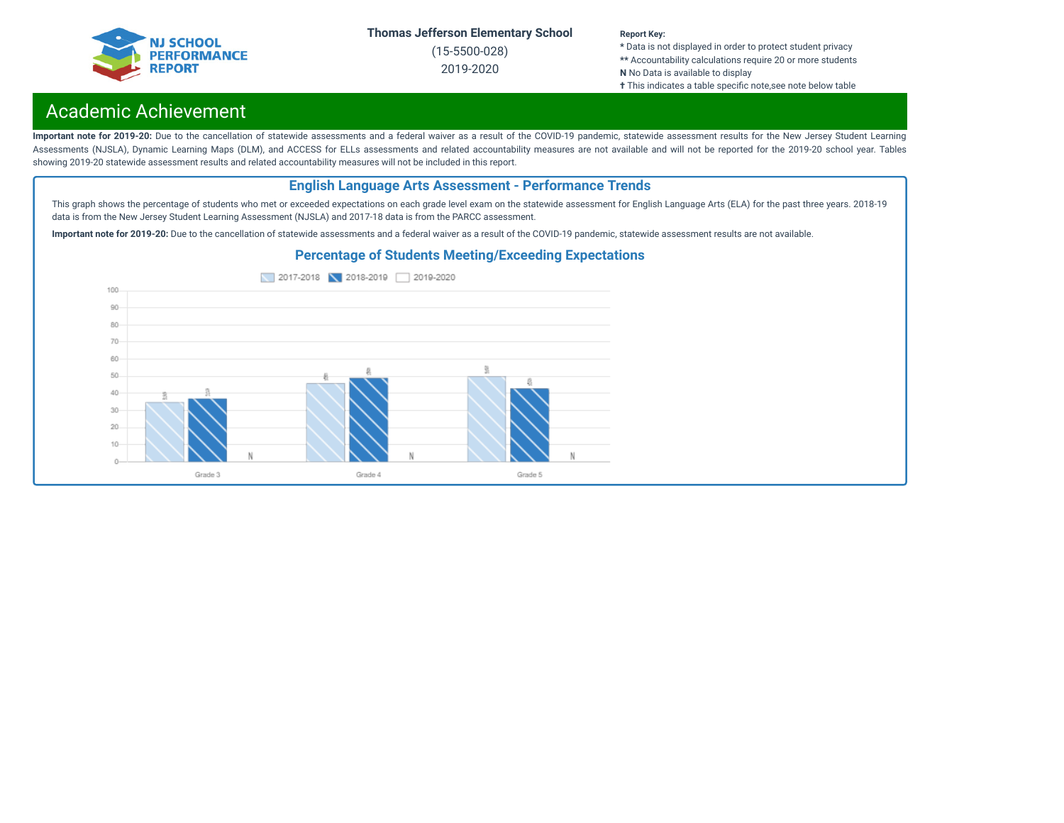

(15-5500-028) 2019-2020

#### **Report Key:**

**\*** Data is not displayed in order to protect student privacy **\*\*** Accountability calculations require 20 or more students **N** No Data is available to display **†** This indicates a table specific note, see note below table

# Academic Achievement

Important note for 2019-20: Due to the cancellation of statewide assessments and a federal waiver as a result of the COVID-19 pandemic, statewide assessment results for the New Jersey Student Learning Assessments (NJSLA), Dynamic Learning Maps (DLM), and ACCESS for ELLs assessments and related accountability measures are not available and will not be reported for the 2019-20 school year. Tables showing 2019-20 statewide assessment results and related accountability measures will not be included in this report.

# **English Language Arts Assessment - Performance Trends**

This graph shows the percentage of students who met or exceeded expectations on each grade level exam on the statewide assessment for English Language Arts (ELA) for the past three years. 2018-19 data is from the New Jersey Student Learning Assessment (NJSLA) and 2017-18 data is from the PARCC assessment.

**Important note for 2019-20:** Due to the cancellation of statewide assessments and a federal waiver as a result of the COVID-19 pandemic, statewide assessment results are not available.

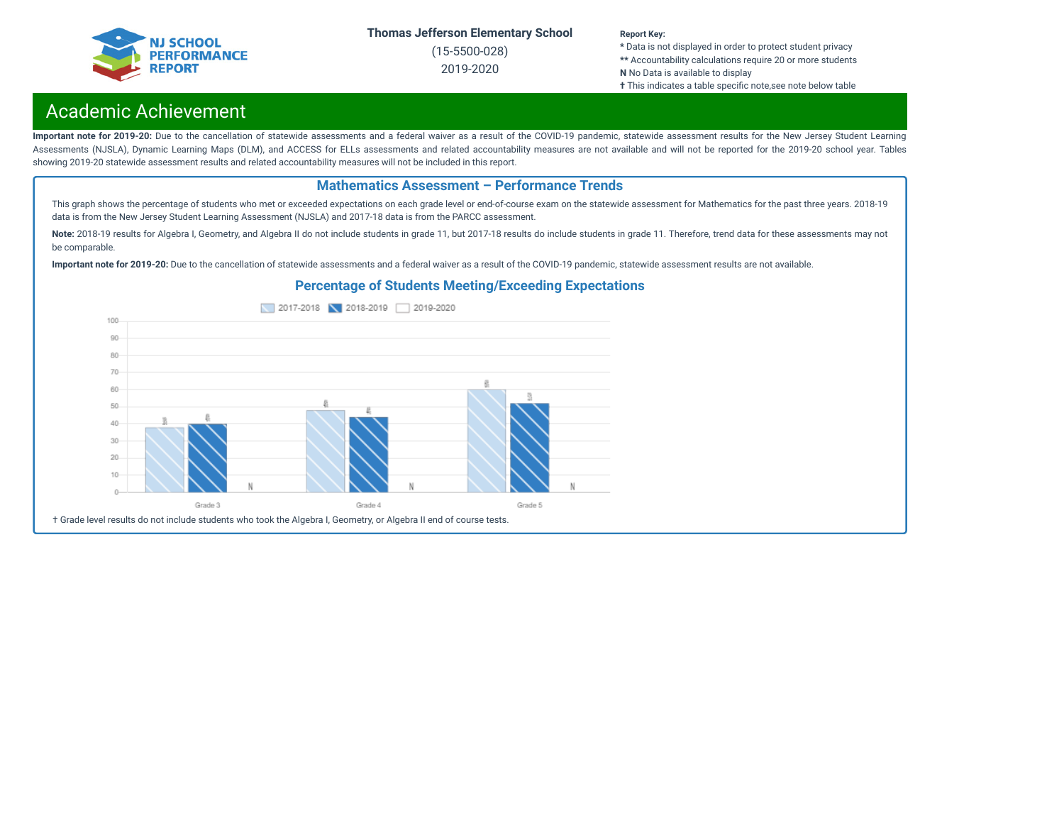

(15-5500-028) 2019-2020

#### **Report Key:**

**\*** Data is not displayed in order to protect student privacy **\*\*** Accountability calculations require 20 or more students **N** No Data is available to display **†** This indicates a table specific note, see note below table

# Academic Achievement

Important note for 2019-20: Due to the cancellation of statewide assessments and a federal waiver as a result of the COVID-19 pandemic, statewide assessment results for the New Jersey Student Learning Assessments (NJSLA), Dynamic Learning Maps (DLM), and ACCESS for ELLs assessments and related accountability measures are not available and will not be reported for the 2019-20 school year. Tables showing 2019-20 statewide assessment results and related accountability measures will not be included in this report.

### **Mathematics Assessment – Performance Trends**

This graph shows the percentage of students who met or exceeded expectations on each grade level or end-of-course exam on the statewide assessment for Mathematics for the past three years. 2018-19 data is from the New Jersey Student Learning Assessment (NJSLA) and 2017-18 data is from the PARCC assessment.

Note: 2018-19 results for Algebra I, Geometry, and Algebra II do not include students in grade 11, but 2017-18 results do include students in grade 11. Therefore, trend data for these assessments may not be comparable.

**Important note for 2019-20:** Due to the cancellation of statewide assessments and a federal waiver as a result of the COVID-19 pandemic, statewide assessment results are not available.

### **Percentage of Students Meeting/Exceeding Expectations**

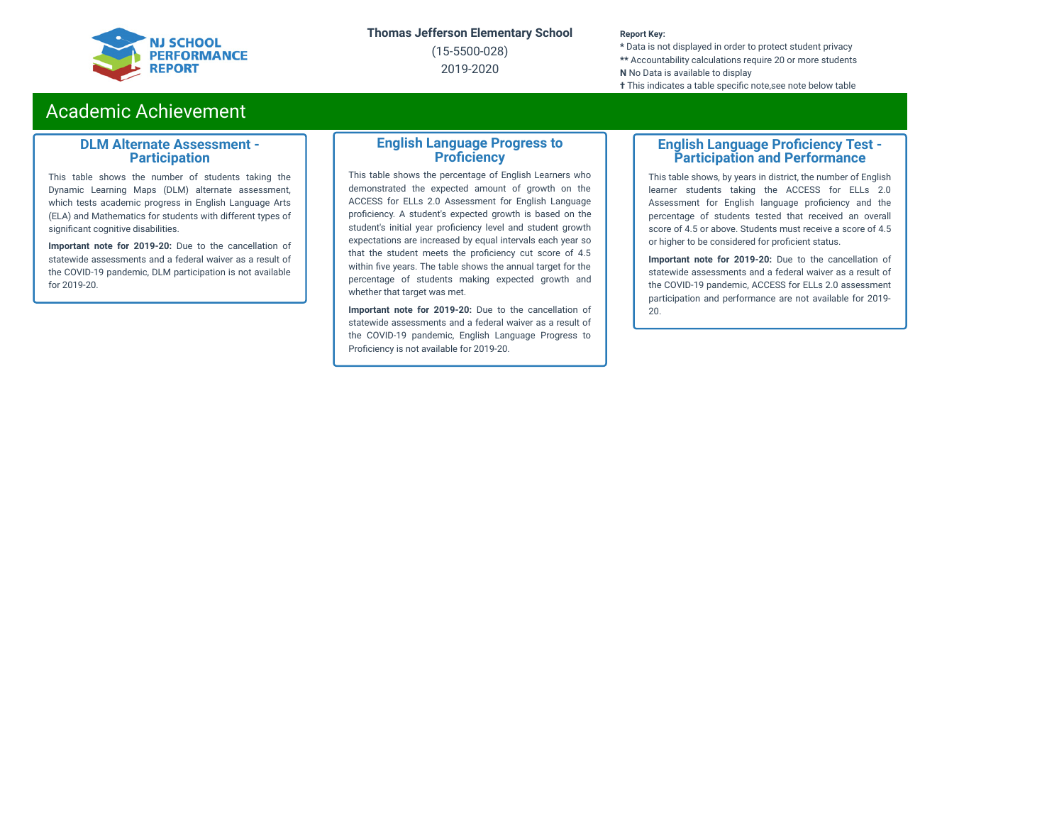

(15-5500-028) 2019-2020

#### **Report Key:**

**\*** Data is not displayed in order to protect student privacy **\*\*** Accountability calculations require 20 or more students **N** No Data is available to display **†** This indicates a table specific note, see note below table

# Academic Achievement

### **DLM Alternate Assessment - Participation**

This table shows the number of students taking the Dynamic Learning Maps (DLM) alternate assessment, which tests academic progress in English Language Arts (ELA) and Mathematics for students with different types of significant cognitive disabilities.

**Important note for 2019-20:** Due to the cancellation of statewide assessments and a federal waiver as a result of the COVID-19 pandemic, DLM participation is not available for 2019-20.

### **English Language Progress to Proficiency**

This table shows the percentage of English Learners who demonstrated the expected amount of growth on the ACCESS for ELLs 2.0 Assessment for English Language proficiency. A student's expected growth is based on the student's initial year proficiency level and student growth expectations are increased by equal intervals each year so that the student meets the proficiency cut score of 4.5 within five years. The table shows the annual target for the percentage of students making expected growth and whether that target was met.

**Important note for 2019-20:** Due to the cancellation of statewide assessments and a federal waiver as a result of the COVID-19 pandemic, English Language Progress to Proficiency is not available for 2019-20.

### **English Language Proficiency Test -Participation and Performance**

This table shows, by years in district, the number of English learner students taking the ACCESS for ELLs 2.0 Assessment for English language proficiency and the percentage of students tested that received an overall score of 4.5 or above. Students must receive a score of 4.5 or higher to be considered for proficient status.

**Important note for 2019-20:** Due to the cancellation of statewide assessments and a federal waiver as a result of the COVID-19 pandemic, ACCESS for ELLs 2.0 assessment participation and performance are not available for 2019- 20.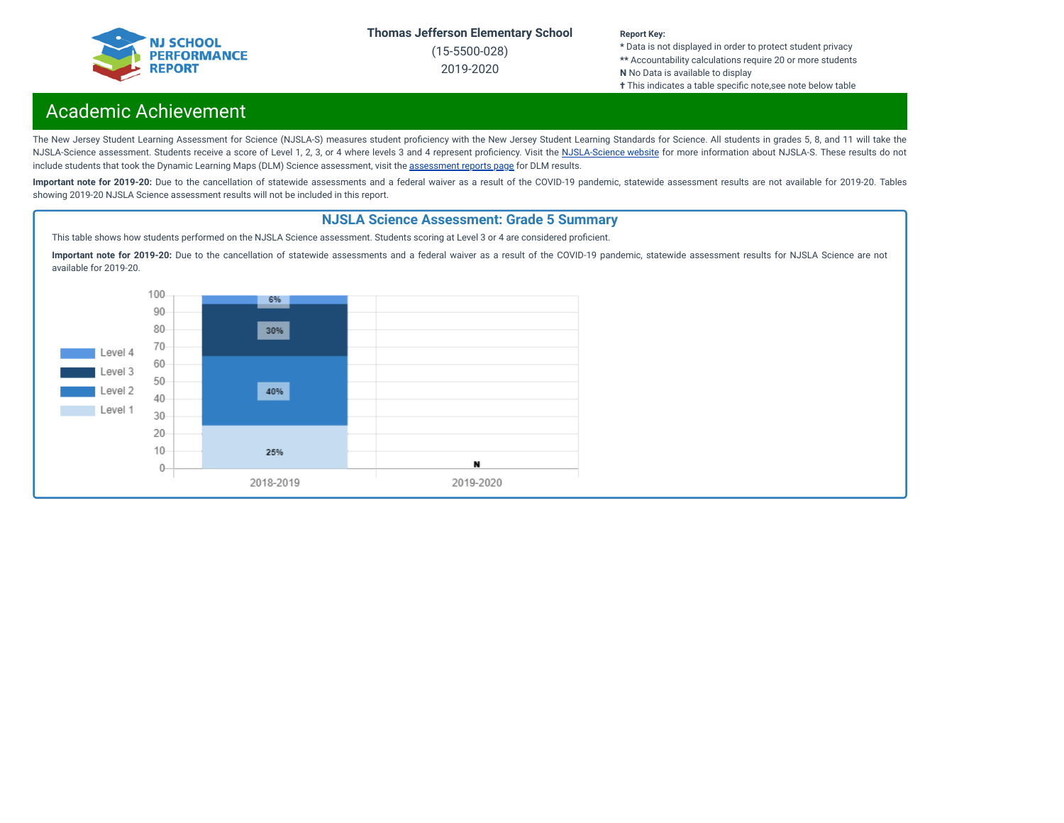

(15-5500-028) 2019-2020

#### **Report Key:**

**\*** Data is not displayed in order to protect student privacy **\*\*** Accountability calculations require 20 or more students **N** No Data is available to display **†** This indicates a table specific note, see note below table

# Academic Achievement

The New Jersey Student Learning Assessment for Science (NJSLA-S) measures student proficiency with the New Jersey Student Learning Standards for Science. All students in grades 5, 8, and 11 will take the [NJSLA-Science](https://www.nj.gov/education/assessment/sla/science/) assessment. Students receive a score of Level 1, 2, 3, or 4 where levels 3 and 4 represent proficiency. Visit the NJSLA-Science website for more information about NJSLA-S. These results do not include students that took the Dynamic Learning Maps (DLM) Science [assessment](https://www.nj.gov/education/schools/achievement/), visit the assessment reports page for DLM results.

Important note for 2019-20: Due to the cancellation of statewide assessments and a federal waiver as a result of the COVID-19 pandemic, statewide assessment results are not available for 2019-20. Tables showing 2019-20 NJSLA Science assessment results will not be included in this report.

## **NJSLA Science Assessment: Grade 5 Summary**

This table shows how students performed on the NJSLA Science assessment. Students scoring at Level 3 or 4 are considered proficient.

**Important note for 2019-20:** Due to the cancellation of statewide assessments and a federal waiver as a result of the COVID-19 pandemic, statewide assessment results for NJSLA Science are not available for 2019-20.

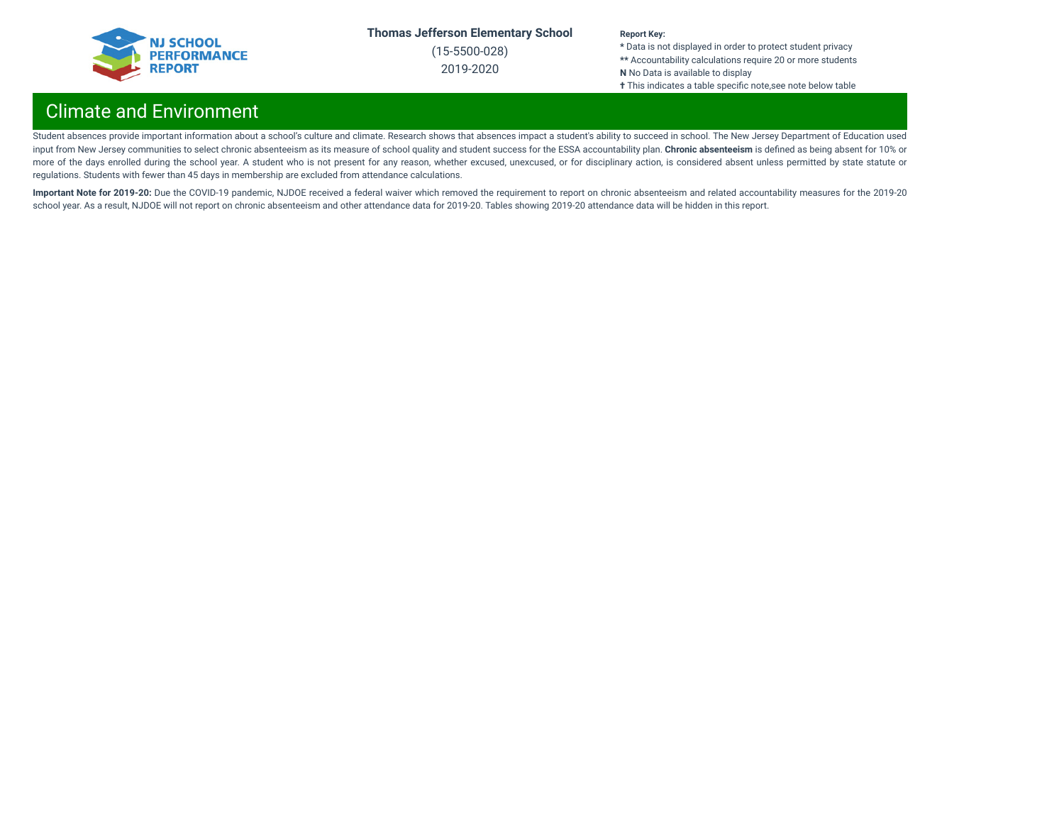

(15-5500-028) 2019-2020

#### **Report Key:**

**\*** Data is not displayed in order to protect student privacy **\*\*** Accountability calculations require 20 or more students **N** No Data is available to display **†** This indicates a table specific note,see note below table

# Climate and Environment

Student absences provide important information about a school's culture and climate. Research shows that absences impact a student's ability to succeed in school. The New Jersey Department of Education used input from New Jersey communities to select chronic absenteeism as its measure of school quality and student success for the ESSA accountability plan. **Chronic absenteeism** is dened as being absent for 10% or more of the days enrolled during the school year. A student who is not present for any reason, whether excused, unexcused, or for disciplinary action, is considered absent unless permitted by state statute or regulations. Students with fewer than 45 days in membership are excluded from attendance calculations.

Important Note for 2019-20: Due the COVID-19 pandemic, NJDOE received a federal waiver which removed the requirement to report on chronic absenteeism and related accountability measures for the 2019-20 school year. As a result, NJDOE will not report on chronic absenteeism and other attendance data for 2019-20. Tables showing 2019-20 attendance data will be hidden in this report.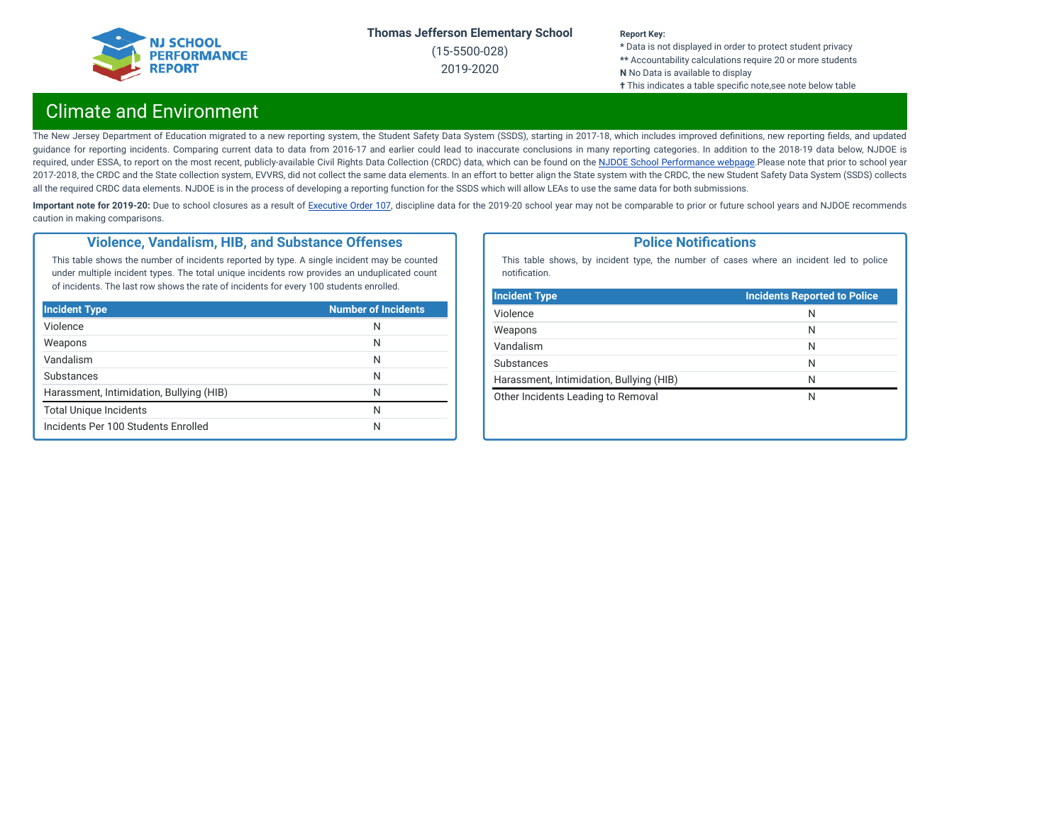

(15-5500-028) 2019-2020

#### **Report Key:**

**\*** Data is not displayed in order to protect student privacy **\*\*** Accountability calculations require 20 or more students **N** No Data is available to display **†** This indicates a table specific note, see note below table

# Climate and Environment

The New Jersey Department of Education migrated to a new reporting system, the Student Safety Data System (SSDS), starting in 2017-18, which includes improved definitions, new reporting fields, and updated guidance for reporting incidents. Comparing current data to data from 2016-17 and earlier could lead to inaccurate conclusions in many reporting categories. In addition to the 2018-19 data below, NJDOE is required, under ESSA, to report on the most recent, publicly-available Civil Rights Data Collection (CRDC) data, which can be found on the NJDOE School [Performance](https://www.nj.gov/education/schoolperformance/climate/) webpage.Please note that prior to school year 2017-2018, the CRDC and the State collection system, EVVRS, did not collect the same data elements. In an effort to better align the State system with the CRDC, the new Student Safety Data System (SSDS) collects all the required CRDC data elements. NJDOE is in the process of developing a reporting function for the SSDS which will allow LEAs to use the same data for both submissions.

Important note for 2019-20: Due to school closures as a result of [Executive](https://nj.gov/infobank/eo/056murphy/pdf/EO-107.pdf) Order 107, discipline data for the 2019-20 school year may not be comparable to prior or future school years and NJDOE recommends caution in making comparisons.

## **Violence, Vandalism, HIB, and Substance Offenses**

This table shows the number of incidents reported by type. A single incident may be counted under multiple incident types. The total unique incidents row provides an unduplicated count of incidents. The last row shows the rate of incidents for every 100 students enrolled.

| <b>Incident Type</b>                     | <b>Number of Incidents</b> |
|------------------------------------------|----------------------------|
| Violence                                 | N                          |
| Weapons                                  | N                          |
| Vandalism                                | N                          |
| Substances                               | N                          |
| Harassment, Intimidation, Bullying (HIB) | N                          |
| <b>Total Unique Incidents</b>            | N                          |
| Incidents Per 100 Students Enrolled      | N                          |

### **Police Notifications**

This table shows, by incident type, the number of cases where an incident led to police notification.

| <b>Incident Type</b>                     | <b>Incidents Reported to Police</b> |
|------------------------------------------|-------------------------------------|
| Violence                                 | N                                   |
| Weapons                                  | N                                   |
| Vandalism                                | N                                   |
| Substances                               | N                                   |
| Harassment, Intimidation, Bullying (HIB) | N                                   |
| Other Incidents Leading to Removal       | N                                   |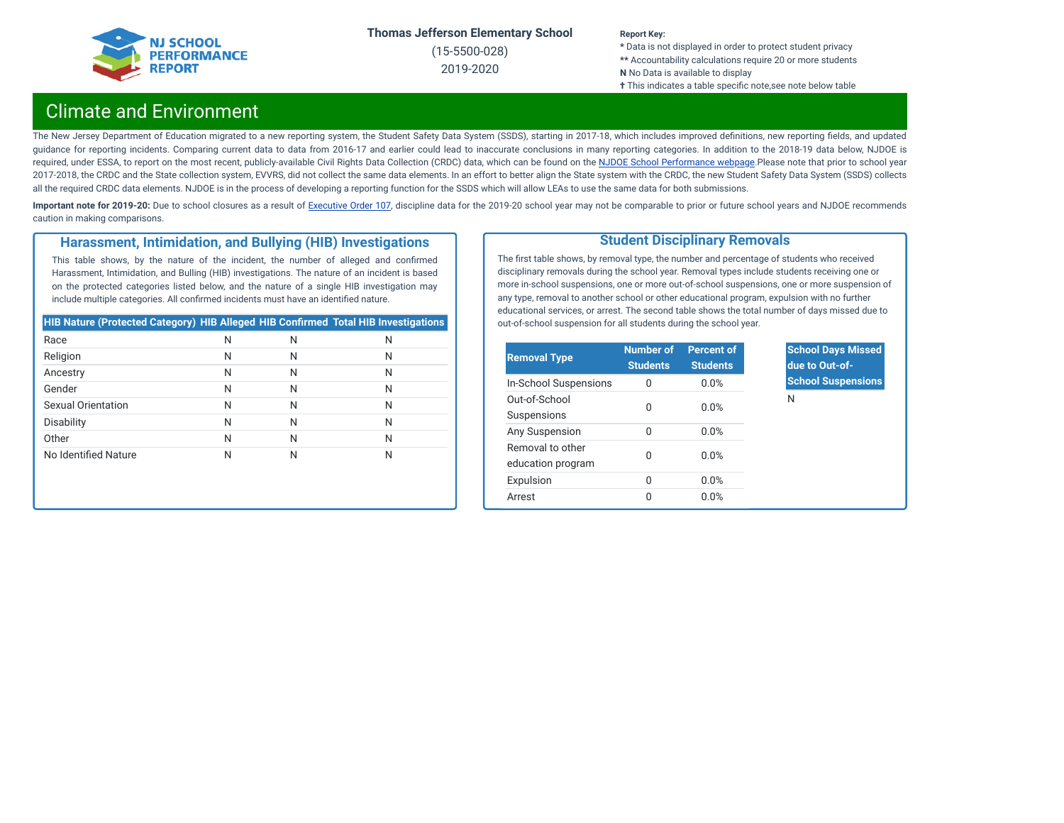

(15-5500-028) 2019-2020

#### **Report Key:**

**\*** Data is not displayed in order to protect student privacy **\*\*** Accountability calculations require 20 or more students **N** No Data is available to display **†** This indicates a table specific note,see note below table

# Climate and Environment

The New Jersey Department of Education migrated to a new reporting system, the Student Safety Data System (SSDS), starting in 2017-18, which includes improved definitions, new reporting fields, and updated guidance for reporting incidents. Comparing current data to data from 2016-17 and earlier could lead to inaccurate conclusions in many reporting categories. In addition to the 2018-19 data below, NJDOE is required, under ESSA, to report on the most recent, publicly-available Civil Rights Data Collection (CRDC) data, which can be found on the NJDOE School [Performance](https://www.nj.gov/education/schoolperformance/climate/) webpage.Please note that prior to school year 2017-2018, the CRDC and the State collection system, EVVRS, did not collect the same data elements. In an effort to better align the State system with the CRDC, the new Student Safety Data System (SSDS) collects all the required CRDC data elements. NJDOE is in the process of developing a reporting function for the SSDS which will allow LEAs to use the same data for both submissions.

Important note for 2019-20: Due to school closures as a result of [Executive](https://nj.gov/infobank/eo/056murphy/pdf/EO-107.pdf) Order 107, discipline data for the 2019-20 school year may not be comparable to prior or future school years and NJDOE recommends caution in making comparisons.

### **Harassment, Intimidation, and Bullying (HIB) Investigations**

This table shows, by the nature of the incident, the number of alleged and confirmed Harassment, Intimidation, and Bulling (HIB) investigations. The nature of an incident is based on the protected categories listed below, and the nature of a single HIB investigation may include multiple categories. All confirmed incidents must have an identified nature.

| <b>HIB Nature (Protected Category) HIB Alleged HIB Confirmed Total HIB Investigations</b> |   |   |   |
|-------------------------------------------------------------------------------------------|---|---|---|
| Race                                                                                      | N | N | N |
| Religion                                                                                  | N | N | N |
| Ancestry                                                                                  | N | N | N |
| Gender                                                                                    | N | N | N |
| <b>Sexual Orientation</b>                                                                 | N | N | N |
| <b>Disability</b>                                                                         | N | Ν | N |
| Other                                                                                     | N | N | N |
| No Identified Nature                                                                      | N | N | N |

# **Student Disciplinary Removals**

The first table shows, by removal type, the number and percentage of students who received disciplinary removals during the school year. Removal types include students receiving one or more in-school suspensions, one or more out-of-school suspensions, one or more suspension of any type, removal to another school or other educational program, expulsion with no further educational services, or arrest. The second table shows the total number of days missed due to out-of-school suspension for all students during the school year.

| <b>Removal Type</b>                   | <b>Number of</b><br><b>Students</b> | <b>Percent of</b><br><b>Students</b> |
|---------------------------------------|-------------------------------------|--------------------------------------|
| In-School Suspensions                 | 0                                   | 0.0%                                 |
| Out-of-School<br>Suspensions          | U                                   | 0.0%                                 |
| Any Suspension                        | $\Omega$                            | 0.0%                                 |
| Removal to other<br>education program | O                                   | 0.0%                                 |
| Expulsion                             | 0                                   | 0.0%                                 |
| Arrest                                | O                                   | 0.0%                                 |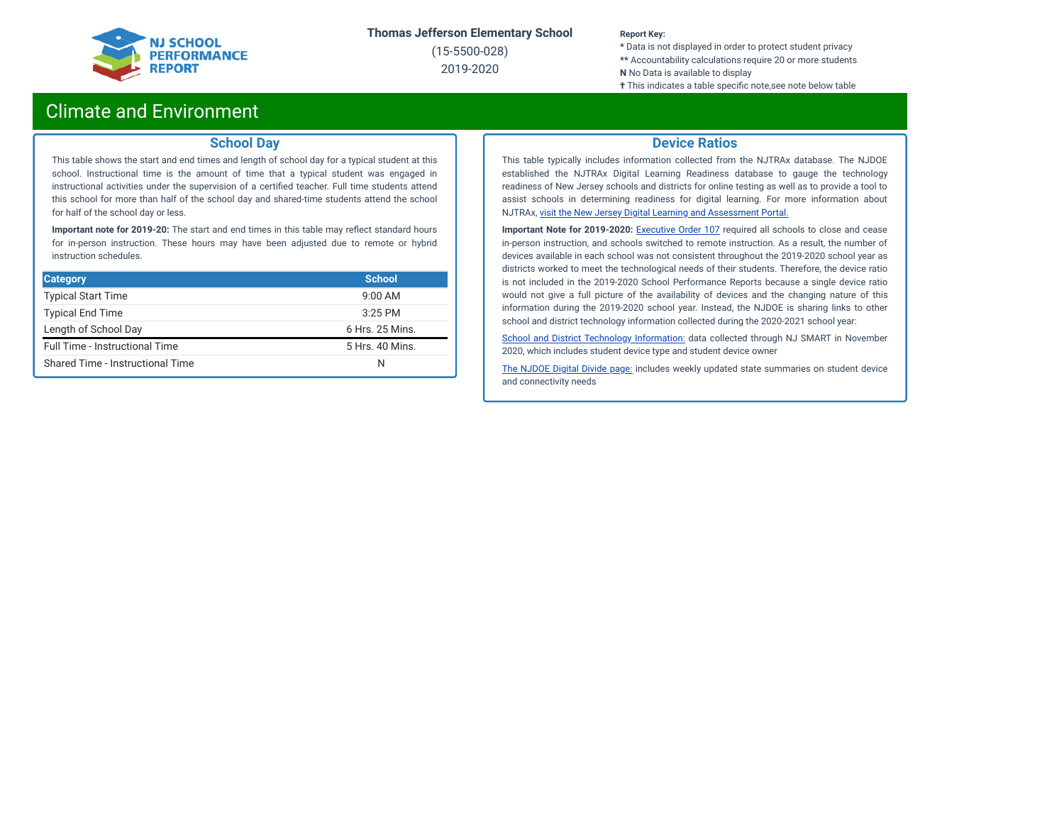

(15-5500-028) 2019-2020

#### **Report Key:**

**\*** Data is not displayed in order to protect student privacy **\*\*** Accountability calculations require 20 or more students **N** No Data is available to display **†** This indicates a table specific note,see note below table

# Climate and Environment

### **School Day**

This table shows the start and end times and length of school day for a typical student at this school. Instructional time is the amount of time that a typical student was engaged in instructional activities under the supervision of a certified teacher. Full time students attend this school for more than half of the school day and shared-time students attend the school for half of the school day or less.

**Important note for 2019-20:** The start and end times in this table may reflect standard hours for in-person instruction. These hours may have been adjusted due to remote or hybrid instruction schedules.

| <b>Category</b>                  | <b>School</b>   |
|----------------------------------|-----------------|
| <b>Typical Start Time</b>        | $9:00$ AM       |
| <b>Typical End Time</b>          | $3:25$ PM       |
| Length of School Day             | 6 Hrs. 25 Mins. |
| Full Time - Instructional Time   | 5 Hrs. 40 Mins. |
| Shared Time - Instructional Time | N               |

### **Device Ratios**

This table typically includes information collected from the NJTRAx database. The NJDOE established the NJTRAx Digital Learning Readiness database to gauge the technology readiness of New Jersey schools and districts for online testing as well as to provide a tool to assist schools in determining readiness for digital learning. For more information about NJTRAx, visit the New Jersey Digital Learning and [Assessment](https://njdigitallearning.org/njtrax/) Portal.

**Important Note for 2019-2020:** [Executive](https://nj.gov/infobank/eo/056murphy/pdf/EO-107.pdf) Order 107 required all schools to close and cease in-person instruction, and schools switched to remote instruction. As a result, the number of devices available in each school was not consistent throughout the 2019-2020 school year as districts worked to meet the technological needs of their students. Therefore, the device ratio is not included in the 2019-2020 School Performance Reports because a single device ratio would not give a full picture of the availability of devices and the changing nature of this information during the 2019-2020 school year. Instead, the NJDOE is sharing links to other school and district technology information collected during the 2020-2021 school year:

School and District Technology [Information:](https://www.state.nj.us/education/schoolperformance/climate/docs/DistrictReportedStudentDeviceInformation.xlsx) data collected through NJ SMART in November 2020, which includes student device type and student device owner

The [NJDOE](https://www.nj.gov/education/grants/digitaldivide/techsurveys.shtml) Digital Divide page: includes weekly updated state summaries on student device and connectivity needs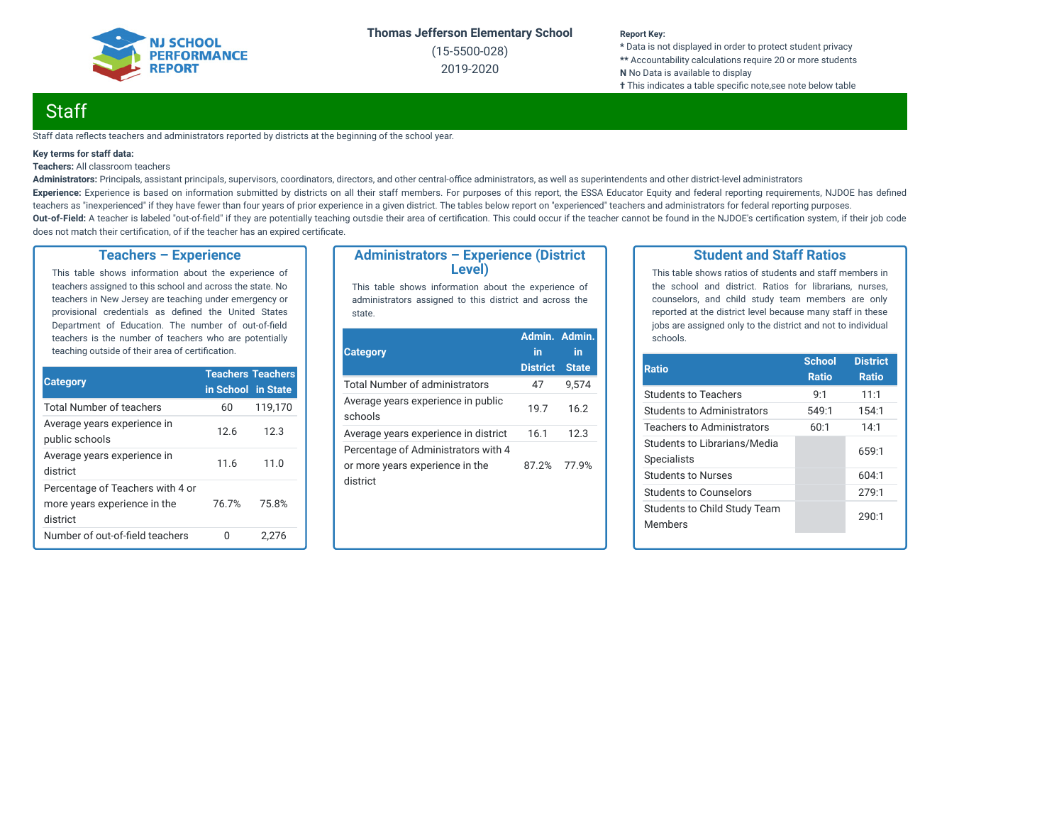# **J SCHOOL PERFORMANCE REPORT**

### **Thomas Jefferson Elementary School**

(15-5500-028) 2019-2020

#### **Report Key:**

**\*** Data is not displayed in order to protect student privacy **\*\*** Accountability calculations require 20 or more students **N** No Data is available to display **†** This indicates a table specific note, see note below table

# **Staff**

Staff data reflects teachers and administrators reported by districts at the beginning of the school year.

#### **Key terms for staff data:**

#### **Teachers:** All classroom teachers

Administrators: Principals, assistant principals, supervisors, coordinators, directors, and other central-office administrators, as well as superintendents and other district-level administrators Experience: Experience is based on information submitted by districts on all their staff members. For purposes of this report, the ESSA Educator Equity and federal reporting requirements, NJDOE has defined teachers as "inexperienced" if they have fewer than four years of prior experience in a given district. The tables below report on "experienced" teachers and administrators for federal reporting purposes. Out-of-Field: A teacher is labeled "out-of-field" if they are potentially teaching outsdie their area of certification. This could occur if the teacher cannot be found in the NJDOE's certification system, if their job code does not match their certification, of if the teacher has an expired certificate.

### **Teachers – Experience**

This table shows information about the experience of teachers assigned to this school and across the state. No teachers in New Jersey are teaching under emergency or provisional credentials as defined the United States Department of Education. The number of out-of-field teachers is the number of teachers who are potentially teaching outside of their area of certification.

| <b>Teachers Teachers</b>                                                     |                    |         |
|------------------------------------------------------------------------------|--------------------|---------|
| <b>Category</b>                                                              | in School in State |         |
| <b>Total Number of teachers</b>                                              | 60                 | 119,170 |
| Average years experience in<br>public schools                                | 12.6               | 12.3    |
| Average years experience in<br>district                                      | 11.6               | 11.0    |
| Percentage of Teachers with 4 or<br>more years experience in the<br>district | 76.7%              | 75.8%   |
| Number of out-of-field teachers                                              |                    | 2.276   |

### **Administrators – Experience (District Level)**

This table shows information about the experience of administrators assigned to this district and across the state.

| <b>Category</b>                                                                    | Admin. Admin.<br>in<br><b>District</b> | in<br><b>State</b> |
|------------------------------------------------------------------------------------|----------------------------------------|--------------------|
| Total Number of administrators                                                     | 47                                     | 9.574              |
| Average years experience in public<br>schools                                      | 19.7                                   | 16.2               |
| Average years experience in district                                               | 16.1                                   | 12.3               |
| Percentage of Administrators with 4<br>or more years experience in the<br>district | 87.2%                                  | 77.9%              |

### **Student and Staff Ratios**

This table shows ratios of students and staff members in the school and district. Ratios for librarians, nurses, counselors, and child study team members are only reported at the district level because many staff in these jobs are assigned only to the district and not to individual schools.

| <b>Ratio</b>                                       | <b>School</b><br><b>Ratio</b> | <b>District</b><br><b>Ratio</b> |
|----------------------------------------------------|-------------------------------|---------------------------------|
| <b>Students to Teachers</b>                        | 9:1                           | 11:1                            |
| Students to Administrators                         | 549:1                         | 154:1                           |
| Teachers to Administrators                         | 60:1                          | 14:1                            |
| Students to Librarians/Media<br><b>Specialists</b> |                               | 659:1                           |
| Students to Nurses                                 |                               | 604:1                           |
| Students to Counselors                             |                               | 279:1                           |
| Students to Child Study Team<br><b>Members</b>     |                               | 290:1                           |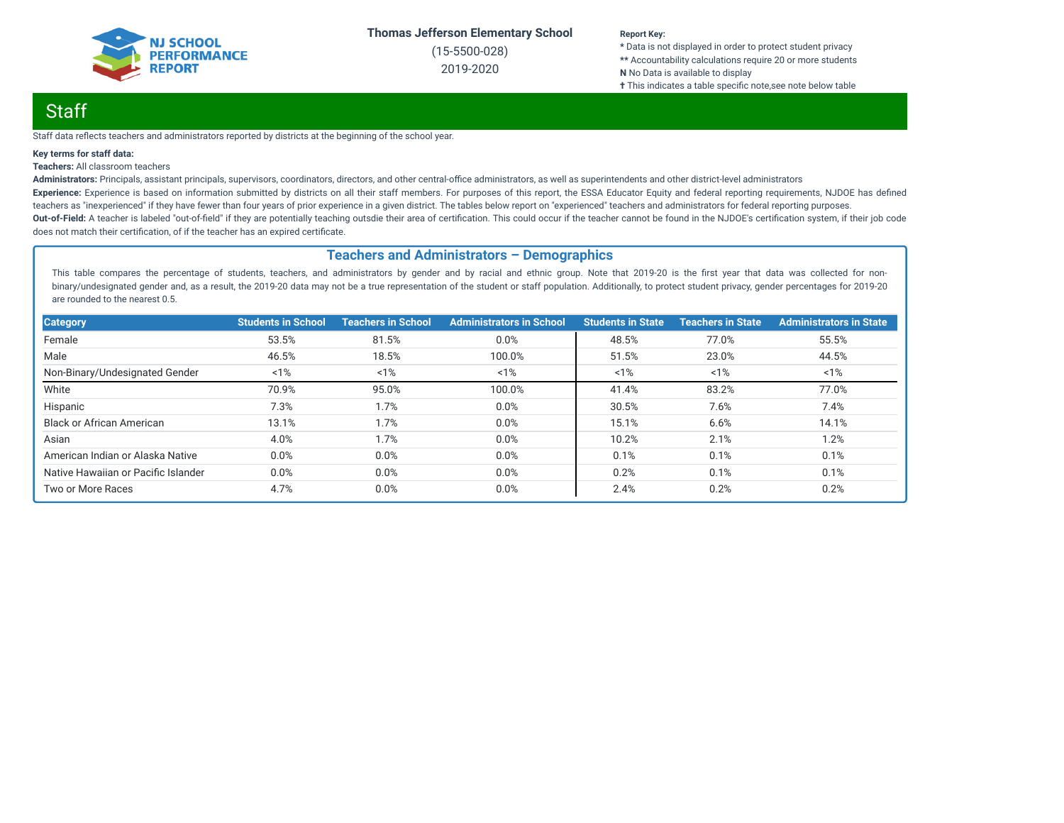# **J SCHOOL PERFORMANCE REPORT**

**Thomas Jefferson Elementary School**

(15-5500-028) 2019-2020

#### **Report Key:**

**\*** Data is not displayed in order to protect student privacy **\*\*** Accountability calculations require 20 or more students **N** No Data is available to display **†** This indicates a table specific note, see note below table

# Staff

Staff data reflects teachers and administrators reported by districts at the beginning of the school year.

#### **Key terms for staff data:**

#### **Teachers:** All classroom teachers

Administrators: Principals, assistant principals, supervisors, coordinators, directors, and other central-office administrators, as well as superintendents and other district-level administrators Experience: Experience is based on information submitted by districts on all their staff members. For purposes of this report, the ESSA Educator Equity and federal reporting requirements, NJDOE has defined teachers as "inexperienced" if they have fewer than four years of prior experience in a given district. The tables below report on "experienced" teachers and administrators for federal reporting purposes. Out-of-Field: A teacher is labeled "out-of-field" if they are potentially teaching outsdie their area of certification. This could occur if the teacher cannot be found in the NJDOE's certification system, if their job code does not match their certification, of if the teacher has an expired certificate.

### **Teachers and Administrators – Demographics**

This table compares the percentage of students, teachers, and administrators by gender and by racial and ethnic group. Note that 2019-20 is the first year that data was collected for nonbinary/undesignated gender and, as a result, the 2019-20 data may not be a true representation of the student or staff population. Additionally, to protect student privacy, gender percentages for 2019-20 are rounded to the nearest 0.5.

| <b>Category</b>                     | <b>Students in School</b> | <b>Teachers in School</b> | <b>Administrators in School</b> | <b>Students in State</b> | Teachers in State | <b>Administrators in State</b> |
|-------------------------------------|---------------------------|---------------------------|---------------------------------|--------------------------|-------------------|--------------------------------|
| Female                              | 53.5%                     | 81.5%                     | 0.0%                            | 48.5%                    | 77.0%             | 55.5%                          |
| Male                                | 46.5%                     | 18.5%                     | 100.0%                          | 51.5%                    | 23.0%             | 44.5%                          |
| Non-Binary/Undesignated Gender      | 1%                        | 1%                        | 1%                              | 1%                       | 1%                | $1\%$                          |
| White                               | 70.9%                     | 95.0%                     | 100.0%                          | 41.4%                    | 83.2%             | 77.0%                          |
| Hispanic                            | 7.3%                      | $1.7\%$                   | 0.0%                            | 30.5%                    | 7.6%              | 7.4%                           |
| <b>Black or African American</b>    | 13.1%                     | 1.7%                      | 0.0%                            | 15.1%                    | 6.6%              | 14.1%                          |
| Asian                               | 4.0%                      | 1.7%                      | 0.0%                            | 10.2%                    | 2.1%              | 1.2%                           |
| American Indian or Alaska Native    | 0.0%                      | 0.0%                      | 0.0%                            | 0.1%                     | 0.1%              | 0.1%                           |
| Native Hawaiian or Pacific Islander | 0.0%                      | $0.0\%$                   | 0.0%                            | 0.2%                     | 0.1%              | 0.1%                           |
| Two or More Races                   | 4.7%                      | 0.0%                      | 0.0%                            | 2.4%                     | 0.2%              | 0.2%                           |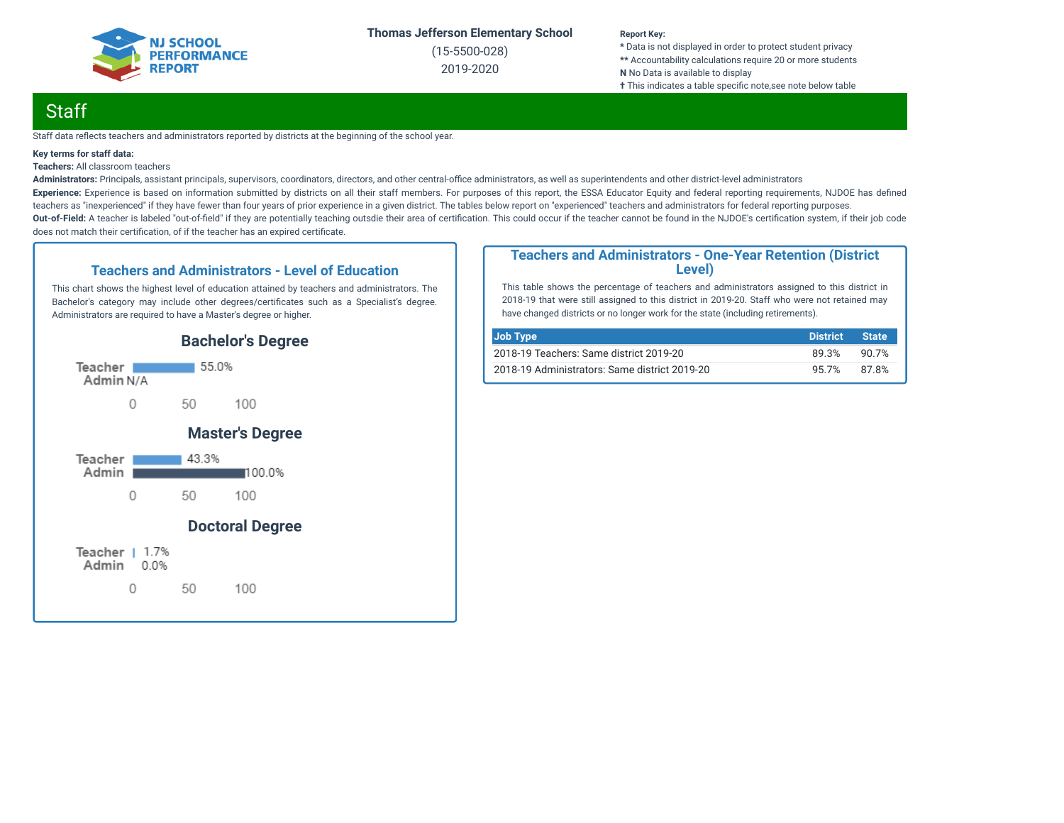# **SCHOOL REPORT**

### **Thomas Jefferson Elementary School**

(15-5500-028) 2019-2020

### **Report Key:**

**\*** Data is not displayed in order to protect student privacy **\*\*** Accountability calculations require 20 or more students **N** No Data is available to display **†** This indicates a table specific note, see note below table

# **Staff**

Staff data reflects teachers and administrators reported by districts at the beginning of the school year.

### **Key terms for staff data:**

**Teachers:** All classroom teachers

Administrators: Principals, assistant principals, supervisors, coordinators, directors, and other central-office administrators, as well as superintendents and other district-level administrators Experience: Experience is based on information submitted by districts on all their staff members. For purposes of this report, the ESSA Educator Equity and federal reporting requirements, NJDOE has defined teachers as "inexperienced" if they have fewer than four years of prior experience in a given district. The tables below report on "experienced" teachers and administrators for federal reporting purposes. Out-of-Field: A teacher is labeled "out-of-field" if they are potentially teaching outsdie their area of certification. This could occur if the teacher cannot be found in the NJDOE's certification system, if their job code does not match their certification, of if the teacher has an expired certificate.

### **Teachers and Administrators - Level of Education**

This chart shows the highest level of education attained by teachers and administrators. The Bachelor's category may include other degrees/certificates such as a Specialist's degree. Administrators are required to have a Master's degree or higher.



### **Teachers and Administrators - One-Year Retention (District Level)**

This table shows the percentage of teachers and administrators assigned to this district in 2018-19 that were still assigned to this district in 2019-20. Staff who were not retained may have changed districts or no longer work for the state (including retirements).

| Job Type                                      | <b>District</b> | <b>State</b> |
|-----------------------------------------------|-----------------|--------------|
| 2018-19 Teachers: Same district 2019-20       | 89.3%           | 90.7%        |
| 2018-19 Administrators: Same district 2019-20 | 95.7%           | 87.8%        |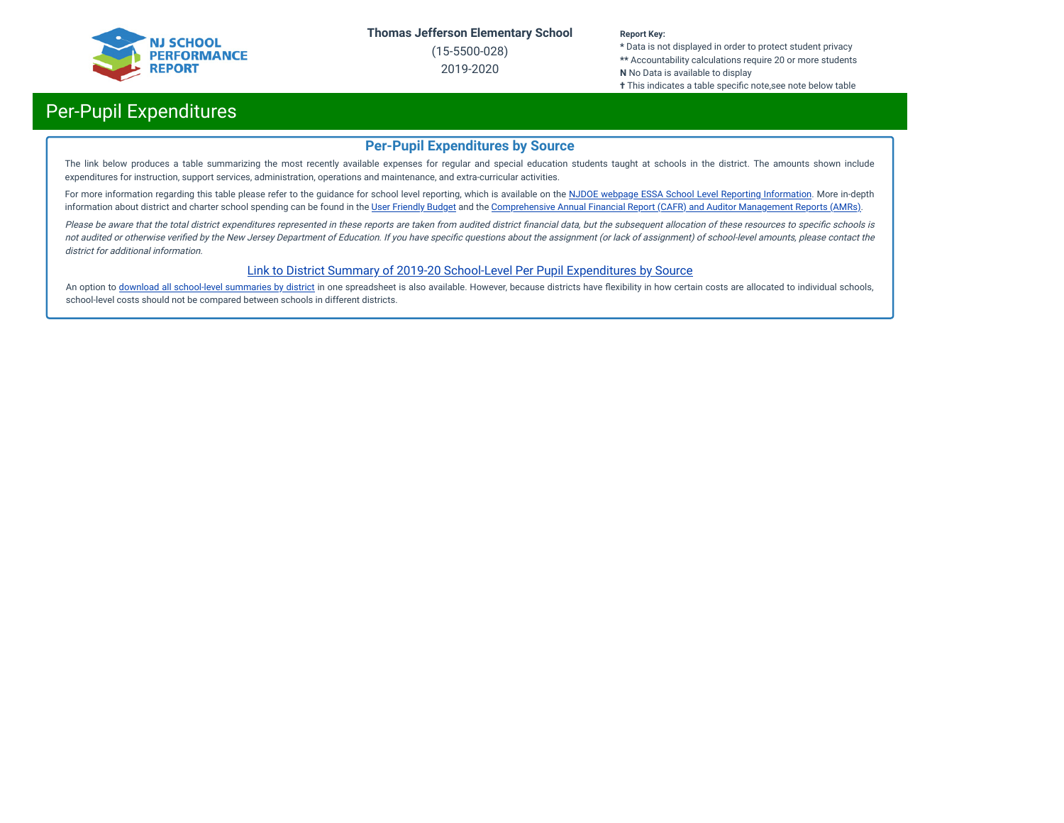

(15-5500-028) 2019-2020

#### **Report Key:**

**\*** Data is not displayed in order to protect student privacy **\*\*** Accountability calculations require 20 or more students **N** No Data is available to display **†** This indicates a table specific note,see note below table

# Per-Pupil Expenditures

## **Per-Pupil Expenditures by Source**

The link below produces a table summarizing the most recently available expenses for regular and special education students taught at schools in the district. The amounts shown include expenditures for instruction, support services, administration, operations and maintenance, and extra-curricular activities.

For more information regarding this table please refer to the guidance for school level reporting, which is available on the NJDOE webpage ESSA School Level Reporting [Information](https://www.nj.gov/education/finance/fp/af/essa.shtml). More in-depth information about district and charter school spending can be found in the User [Friendly](https://www.nj.gov/education/finance/fp/ufb/) Budget and the [Comprehensive](https://www.nj.gov/education/finance/fp/cafr/search/) Annual Financial Report (CAFR) and Auditor Management Reports (AMRs).

Please be aware that the total district expenditures represented in these reports are taken from audited district financial data, but the subsequent allocation of these resources to specific schools is not audited or otherwise verified by the New Jersey Department of Education. If you have specific questions about the assignment (or lack of assignment) of school-level amounts, please contact the district for additional information.

### [Link to District Summary of 2019-20 School-Level Per Pupil Expenditures by Source](https://homeroom4.doe.state.nj.us/audsum/PpeReport?&did=5500&fileformat=html&reportname=PERFORMREPORT&fy=20)

An option to download all [school-level](https://homeroom4.doe.state.nj.us/audsum/PpeReport?&did=9999&fileformat=html&reportname=PERFORMREPORT&fy=20) summaries by district in one spreadsheet is also available. However, because districts have flexibility in how certain costs are allocated to individual schools, school-level costs should not be compared between schools in different districts.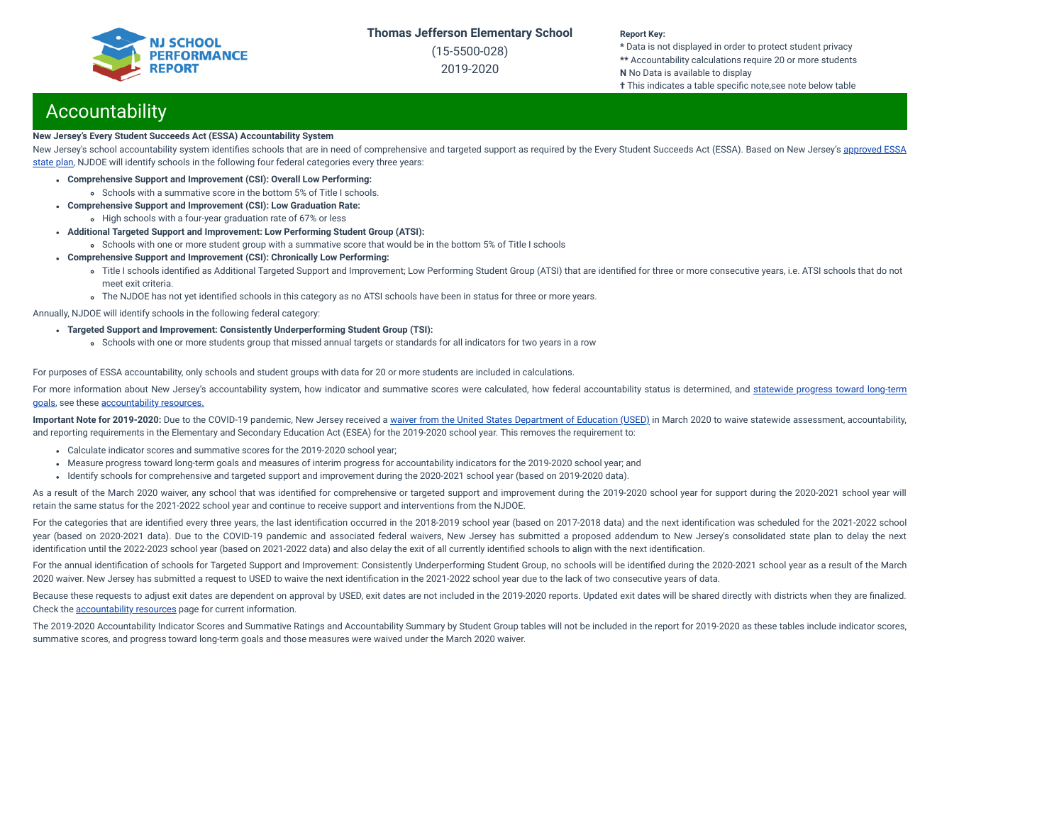(15-5500-028) 2019-2020

#### **Report Key:**

**\*** Data is not displayed in order to protect student privacy **\*\*** Accountability calculations require 20 or more students **N** No Data is available to display **†** This indicates a table specific note,see note below table

# **Accountability**

#### **New Jersey's Every Student Succeeds Act (ESSA) Accountability System**

New Jersey's school accountability system identifies schools that are in need of [comprehensive](https://www.nj.gov/education/ESSA/plan/plan.pdf) and targeted support as required by the Every Student Succeeds Act (ESSA). Based on New Jersey's approved ESSA state plan, NJDOE will identify schools in the following four federal categories every three years:

- **Comprehensive Support and Improvement (CSI): Overall Low Performing:**
	- Schools with a summative score in the bottom 5% of Title I schools.
- **Comprehensive Support and Improvement (CSI): Low Graduation Rate:**
- High schools with a four-year graduation rate of 67% or less
- **Additional Targeted Support and Improvement: Low Performing Student Group (ATSI):**
	- Schools with one or more student group with a summative score that would be in the bottom 5% of Title I schools
- **Comprehensive Support and Improvement (CSI): Chronically Low Performing:**
	- o Title I schools identified as Additional Targeted Support and Improvement; Low Performing Student Group (ATSI) that are identified for three or more consecutive years, i.e. ATSI schools that do not meet exit criteria.
	- The NJDOE has not yet identified schools in this category as no ATSI schools have been in status for three or more years.

Annually, NJDOE will identify schools in the following federal category:

- **Targeted Support and Improvement: Consistently Underperforming Student Group (TSI):**
	- Schools with one or more students group that missed annual targets or standards for all indicators for two years in a row

For purposes of ESSA accountability, only schools and student groups with data for 20 or more students are included in calculations.

For more information about New Jersey's [accountability](https://www.state.nj.us/education/title1/accountability/progress/19/2018-19%20Statewide%20Progress%20toward%20Long-Term%20Goals.pdf) system, how indicator and summative scores were calculated, how federal accountability status is determined, and statewide progress toward long-term goals, see these [accountability](https://www.state.nj.us/education/title1/accountability/progress/20) resources.

Important Note for 2019-2020: Due to the COVID-19 pandemic, New Jersey received a waiver from the United States [Department](https://www.nj.gov/education/covid19/news/docs/Accountability%20and%20School%20Identification,%20and%20Reporting%20Requirement%20Waiver%20Word.pdf) of Education (USED) in March 2020 to waive statewide assessment, accountability, and reporting requirements in the Elementary and Secondary Education Act (ESEA) for the 2019-2020 school year. This removes the requirement to:

- Calculate indicator scores and summative scores for the 2019-2020 school year;
- Measure progress toward long-term goals and measures of interim progress for accountability indicators for the 2019-2020 school year; and
- Identify schools for comprehensive and targeted support and improvement during the 2020-2021 school year (based on 2019-2020 data).

As a result of the March 2020 waiver, any school that was identified for comprehensive or targeted support and improvement during the 2019-2020 school year for support during the 2020-2021 school year will retain the same status for the 2021-2022 school year and continue to receive support and interventions from the NJDOE.

For the categories that are identified every three years, the last identification occurred in the 2018-2019 school year (based on 2017-2018 data) and the next identification was scheduled for the 2021-2022 school year (based on 2020-2021 data). Due to the COVID-19 pandemic and associated federal waivers, New Jersey has submitted a proposed addendum to New Jersey's consolidated state plan to delay the next identification until the 2022-2023 school year (based on 2021-2022 data) and also delay the exit of all currently identified schools to align with the next identification.

For the annual identification of schools for Targeted Support and Improvement: Consistently Underperforming Student Group, no schools will be identified during the 2020-2021 school year as a result of the March 2020 waiver. New Jersey has submitted a request to USED to waive the next identification in the 2021-2022 school year due to the lack of two consecutive years of data.

Because these requests to adjust exit dates are dependent on approval by USED, exit dates are not included in the 2019-2020 reports. Updated exit dates will be shared directly with districts when they are finalized. Check the [accountability](https://www.state.nj.us/education/title1/accountability/progress/20) resources page for current information.

The 2019-2020 Accountability Indicator Scores and Summative Ratings and Accountability Summary by Student Group tables will not be included in the report for 2019-2020 as these tables include indicator scores, summative scores, and progress toward long-term goals and those measures were waived under the March 2020 waiver.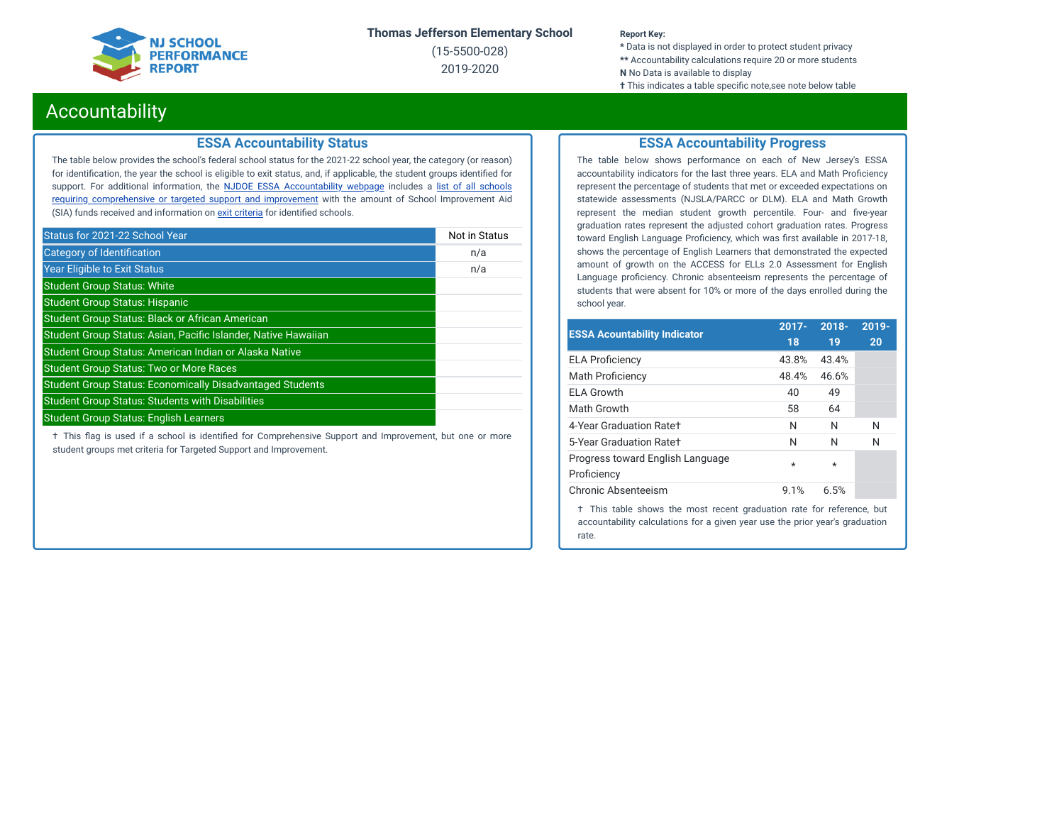# **IJ SCHOOL PERFORMANCE REPORT**

**Thomas Jefferson Elementary School**

(15-5500-028) 2019-2020

#### **Report Key:**

**\*** Data is not displayed in order to protect student privacy **\*\*** Accountability calculations require 20 or more students **N** No Data is available to display

### **†** This indicates a table specific note, see note below table

# Accountability

### **ESSA Accountability Status**

The table below provides the school's federal school status for the 2021-22 school year, the category (or reason) for identification, the year the school is eligible to exit status, and, if applicable, the student groups identified for support. For additional information, the **NJDOE ESSA [Accountability](https://www.state.nj.us/education/title1/accountability/progress/20/) webpage** includes a list of all schools requiring [comprehensive](https://www.state.nj.us/education/title1/accountability/progress/19/CAP%20Comprehensive_Targeted_Schools.xlsx) or targeted support and improvement with the amount of School Improvement Aid (SIA) funds received and information on exit [criteria](https://www.state.nj.us/education/title1/accountability/progress/20/ESSAExitCriteriaDocument.pdf) for identified schools.

| Status for 2021-22 School Year                                   | Not in Status |
|------------------------------------------------------------------|---------------|
| Category of Identification                                       | n/a           |
| <b>Year Eligible to Exit Status</b>                              | n/a           |
| <b>Student Group Status: White</b>                               |               |
| <b>Student Group Status: Hispanic</b>                            |               |
| <b>Student Group Status: Black or African American</b>           |               |
| Student Group Status: Asian, Pacific Islander, Native Hawaiian   |               |
| Student Group Status: American Indian or Alaska Native           |               |
| <b>Student Group Status: Two or More Races</b>                   |               |
| <b>Student Group Status: Economically Disadvantaged Students</b> |               |
| <b>Student Group Status: Students with Disabilities</b>          |               |
| <b>Student Group Status: English Learners</b>                    |               |

 $\dagger$  This flag is used if a school is identified for Comprehensive Support and Improvement, but one or more student groups met criteria for Targeted Support and Improvement.

### **ESSA Accountability Progress**

The table below shows performance on each of New Jersey's ESSA accountability indicators for the last three years. ELA and Math Proficiency represent the percentage of students that met or exceeded expectations on statewide assessments (NJSLA/PARCC or DLM). ELA and Math Growth represent the median student growth percentile. Four- and five-year graduation rates represent the adjusted cohort graduation rates. Progress toward English Language Proficiency, which was first available in 2017-18, shows the percentage of English Learners that demonstrated the expected amount of growth on the ACCESS for ELLs 2.0 Assessment for English Language proficiency. Chronic absenteeism represents the percentage of students that were absent for 10% or more of the days enrolled during the school year.

| <b>ESSA Acountability Indicator</b> | $2017 -$ | $2018 -$ | 2019- |
|-------------------------------------|----------|----------|-------|
|                                     | 18       | 19       | 20    |
| <b>ELA Proficiency</b>              | 43.8%    | 43.4%    |       |
| <b>Math Proficiency</b>             | 48.4%    | 46.6%    |       |
| <b>ELA Growth</b>                   | 40       | 49       |       |
| Math Growth                         | 58       | 64       |       |
| 4-Year Graduation Rate+             | N        | N        | N     |
| 5-Year Graduation Rate+             | N        | N        | N     |
| Progress toward English Language    | $\star$  | $\star$  |       |
| Proficiency                         |          |          |       |
| <b>Chronic Absenteeism</b>          | 9.1%     | 6.5%     |       |
|                                     |          |          |       |

† This table shows the most recent graduation rate for reference, but accountability calculations for a given year use the prior year's graduation rate.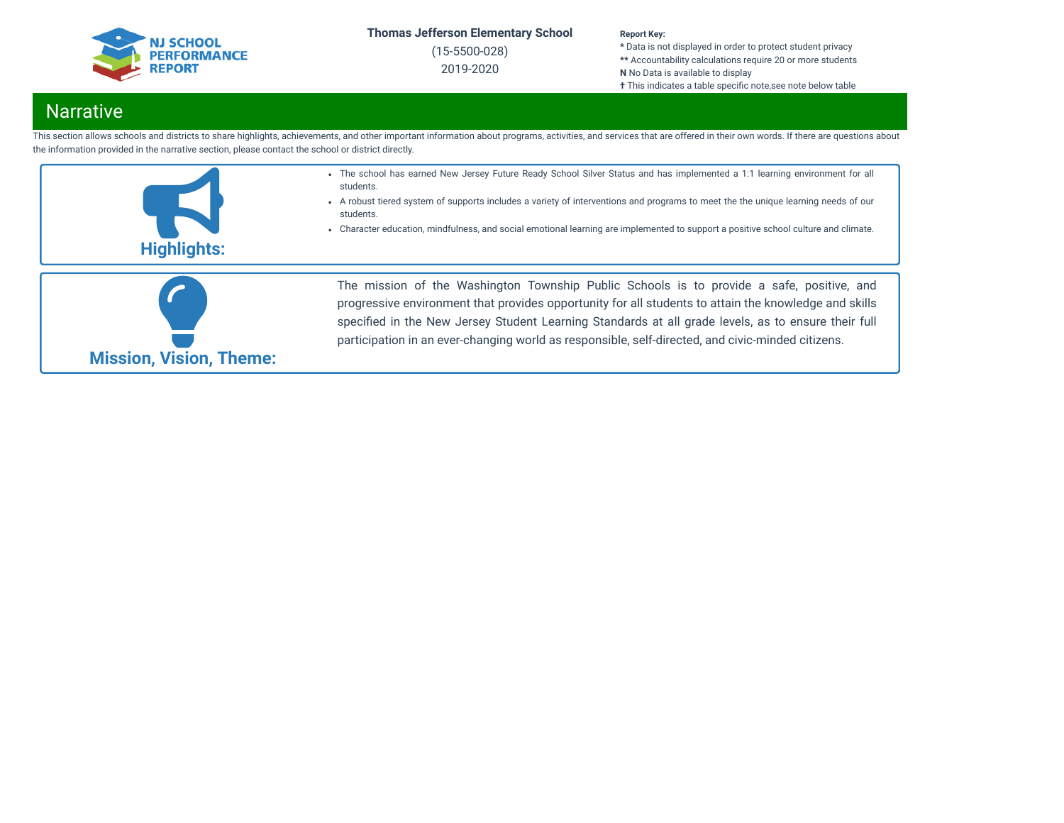

(15-5500-028) 2019-2020

#### **Report Key:**

**\*** Data is not displayed in order to protect student privacy **\*\*** Accountability calculations require 20 or more students **N** No Data is available to display **†** This indicates a table specific note, see note below table

# Narrative

This section allows schools and districts to share highlights, achievements, and other important information about programs, activities, and services that are offered in their own words. If there are questions about the information provided in the narrative section, please contact the school or district directly.

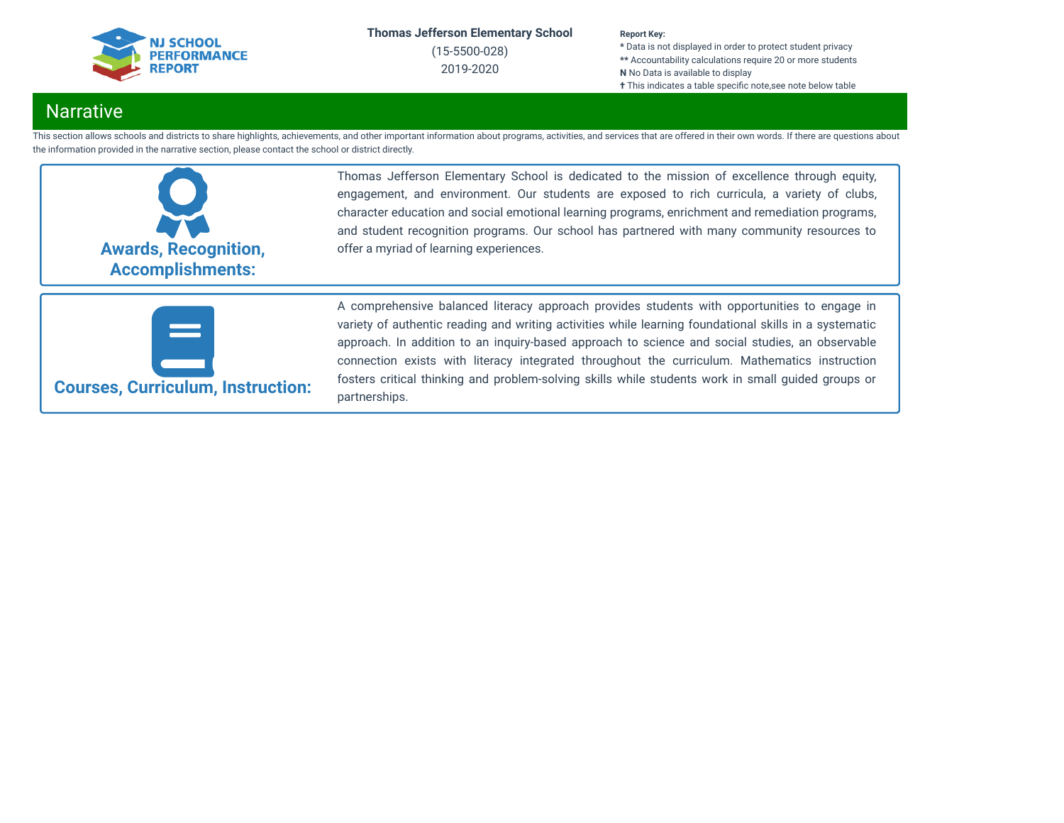

(15-5500-028) 2019-2020

### **Report Key:**

**\*** Data is not displayed in order to protect student privacy **\*\*** Accountability calculations require 20 or more students **N** No Data is available to display **†** This indicates a table specific note,see note below table

# **Narrative**

This section allows schools and districts to share highlights, achievements, and other important information about programs, activities, and services that are offered in their own words. If there are questions about the information provided in the narrative section, please contact the school or district directly.



Thomas Jefferson Elementary School is dedicated to the mission of excellence through equity, engagement, and environment. Our students are exposed to rich curricula, a variety of clubs, character education and social emotional learning programs, enrichment and remediation programs, and student recognition programs. Our school has partnered with many community resources to offer a myriad of learning experiences.



**Courses, Curriculum, Instruction:**

A comprehensive balanced literacy approach provides students with opportunities to engage in variety of authentic reading and writing activities while learning foundational skills in a systematic approach. In addition to an inquiry-based approach to science and social studies, an observable connection exists with literacy integrated throughout the curriculum. Mathematics instruction fosters critical thinking and problem-solving skills while students work in small guided groups or partnerships.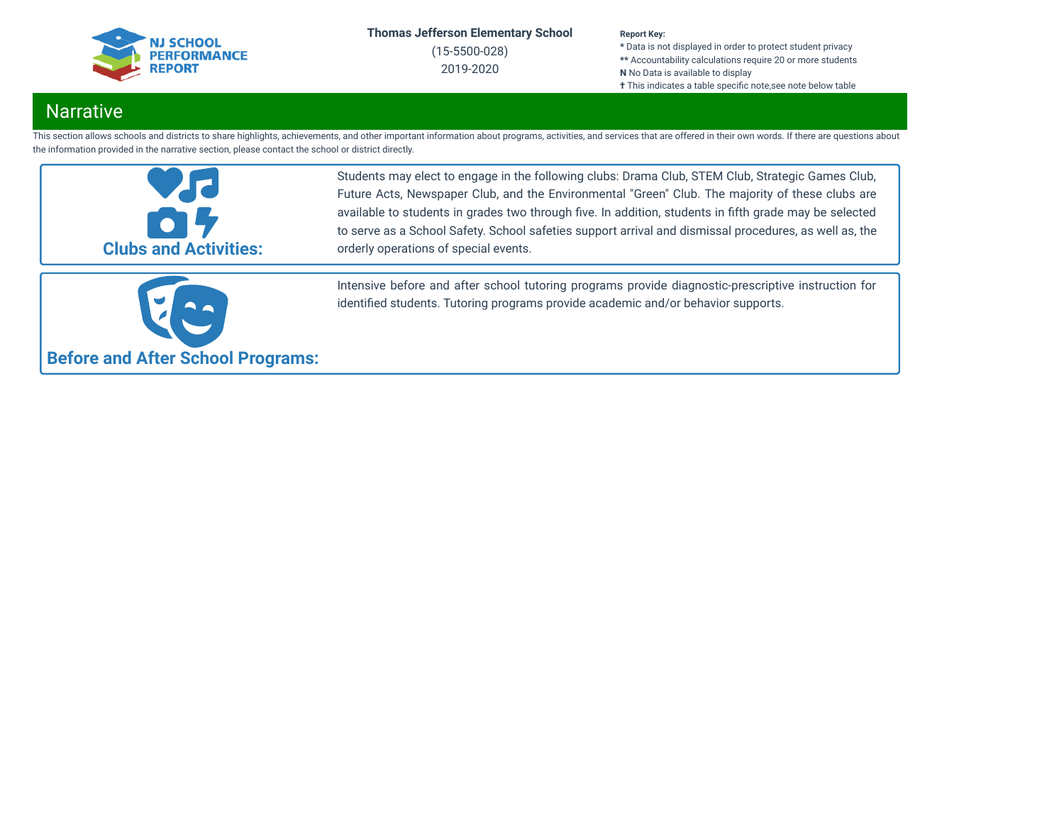

(15-5500-028) 2019-2020

### **Report Key:**

**\*** Data is not displayed in order to protect student privacy **\*\*** Accountability calculations require 20 or more students **N** No Data is available to display **†** This indicates a table specific note, see note below table

# Narrative

This section allows schools and districts to share highlights, achievements, and other important information about programs, activities, and services that are offered in their own words. If there are questions about the information provided in the narrative section, please contact the school or district directly.



Students may elect to engage in the following clubs: Drama Club, STEM Club, Strategic Games Club, Future Acts, Newspaper Club, and the Environmental "Green" Club. The majority of these clubs are available to students in grades two through five. In addition, students in fifth grade may be selected to serve as a School Safety. School safeties support arrival and dismissal procedures, as well as, the orderly operations of special events.



Intensive before and after school tutoring programs provide diagnostic-prescriptive instruction for identified students. Tutoring programs provide academic and/or behavior supports.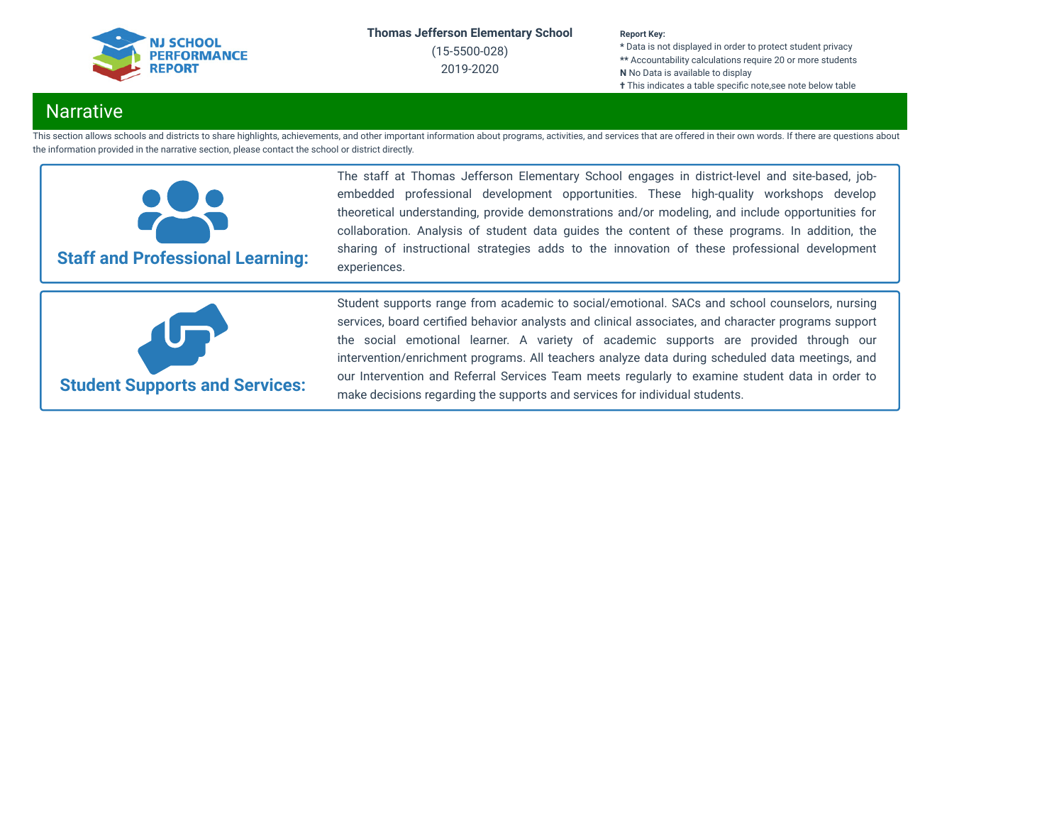

(15-5500-028) 2019-2020

#### **Report Key:**

**\*** Data is not displayed in order to protect student privacy **\*\*** Accountability calculations require 20 or more students **N** No Data is available to display **†** This indicates a table specific note,see note below table

# **Narrative**

This section allows schools and districts to share highlights, achievements, and other important information about programs, activities, and services that are offered in their own words. If there are questions about the information provided in the narrative section, please contact the school or district directly.



The staff at Thomas Jefferson Elementary School engages in district-level and site-based, jobembedded professional development opportunities. These high-quality workshops develop theoretical understanding, provide demonstrations and/or modeling, and include opportunities for collaboration. Analysis of student data guides the content of these programs. In addition, the sharing of instructional strategies adds to the innovation of these professional development experiences.



Student supports range from academic to social/emotional. SACs and school counselors, nursing services, board certified behavior analysts and clinical associates, and character programs support the social emotional learner. A variety of academic supports are provided through our intervention/enrichment programs. All teachers analyze data during scheduled data meetings, and our Intervention and Referral Services Team meets regularly to examine student data in order to make decisions regarding the supports and services for individual students.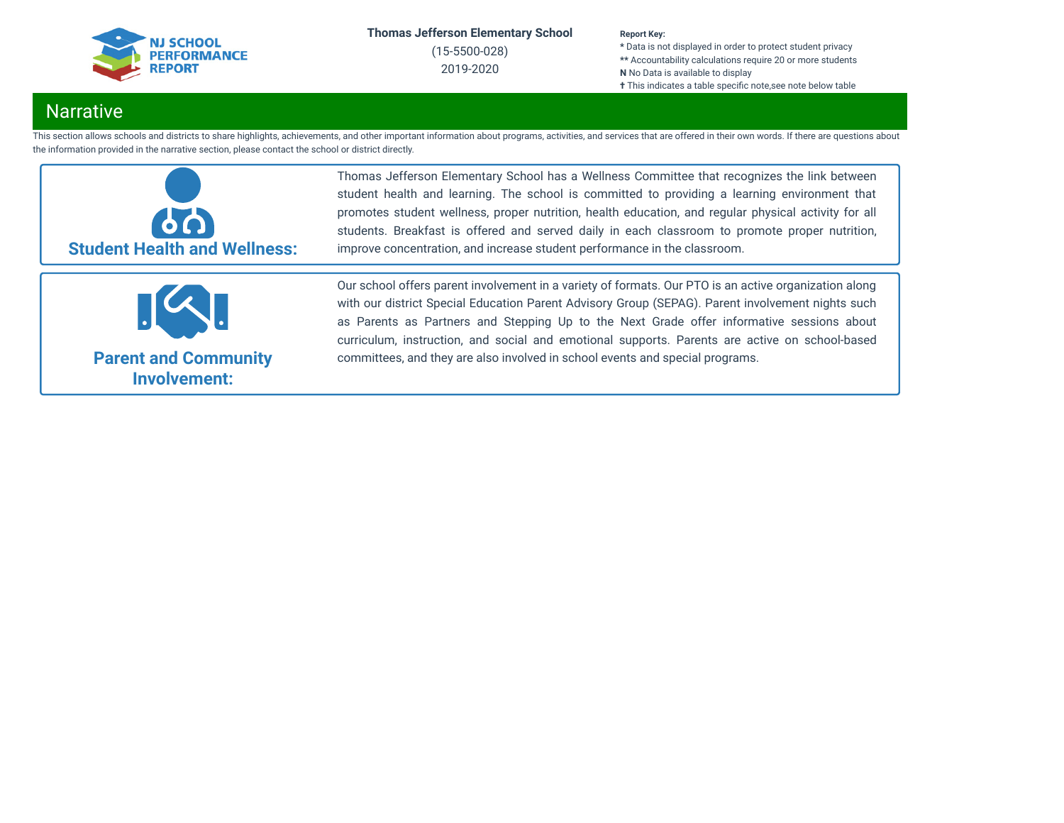

(15-5500-028) 2019-2020

#### **Report Key:**

**\*** Data is not displayed in order to protect student privacy **\*\*** Accountability calculations require 20 or more students **N** No Data is available to display **†** This indicates a table specific note, see note below table

# Narrative

This section allows schools and districts to share highlights, achievements, and other important information about programs, activities, and services that are offered in their own words. If there are questions about the information provided in the narrative section, please contact the school or district directly.



Thomas Jefferson Elementary School has a Wellness Committee that recognizes the link between student health and learning. The school is committed to providing a learning environment that promotes student wellness, proper nutrition, health education, and regular physical activity for all students. Breakfast is offered and served daily in each classroom to promote proper nutrition, improve concentration, and increase student performance in the classroom.



**Parent and Community Involvement:**

Our school offers parent involvement in a variety of formats. Our PTO is an active organization along with our district Special Education Parent Advisory Group (SEPAG). Parent involvement nights such as Parents as Partners and Stepping Up to the Next Grade offer informative sessions about curriculum, instruction, and social and emotional supports. Parents are active on school-based committees, and they are also involved in school events and special programs.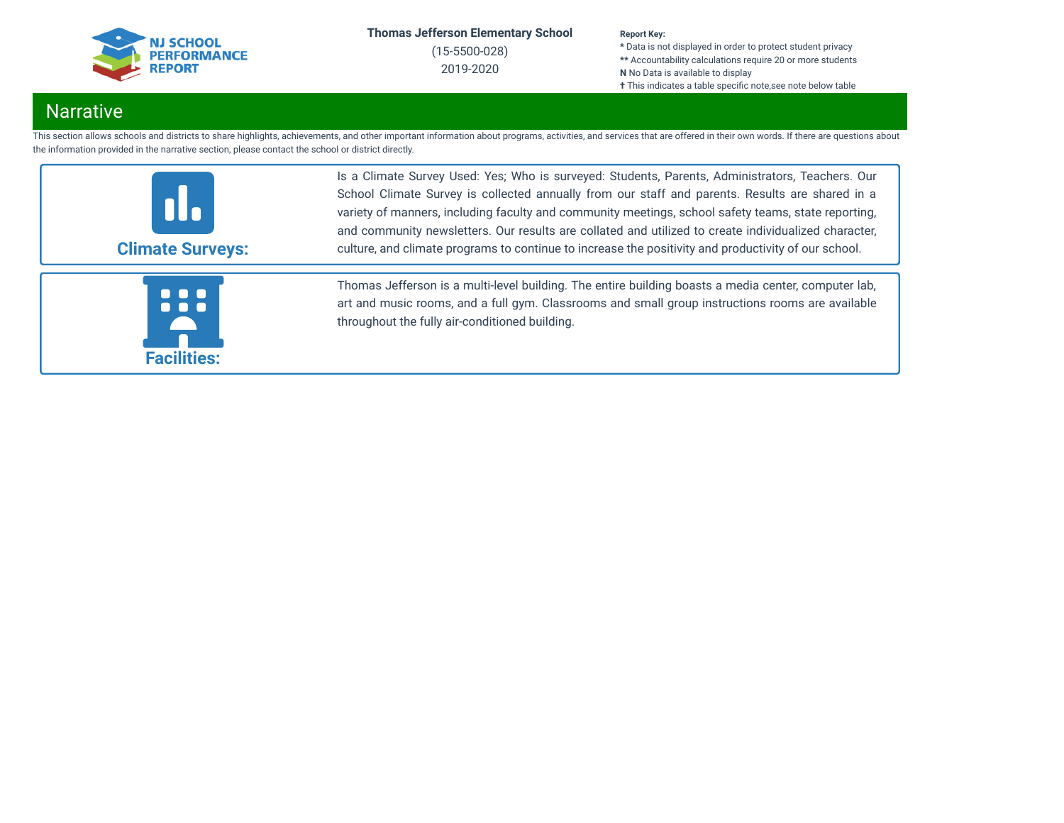

(15-5500-028) 2019-2020

### **Report Key:**

**\*** Data is not displayed in order to protect student privacy **\*\*** Accountability calculations require 20 or more students **N** No Data is available to display **†** This indicates a table specific note, see note below table

# Narrative

This section allows schools and districts to share highlights, achievements, and other important information about programs, activities, and services that are offered in their own words. If there are questions about the information provided in the narrative section, please contact the school or district directly.

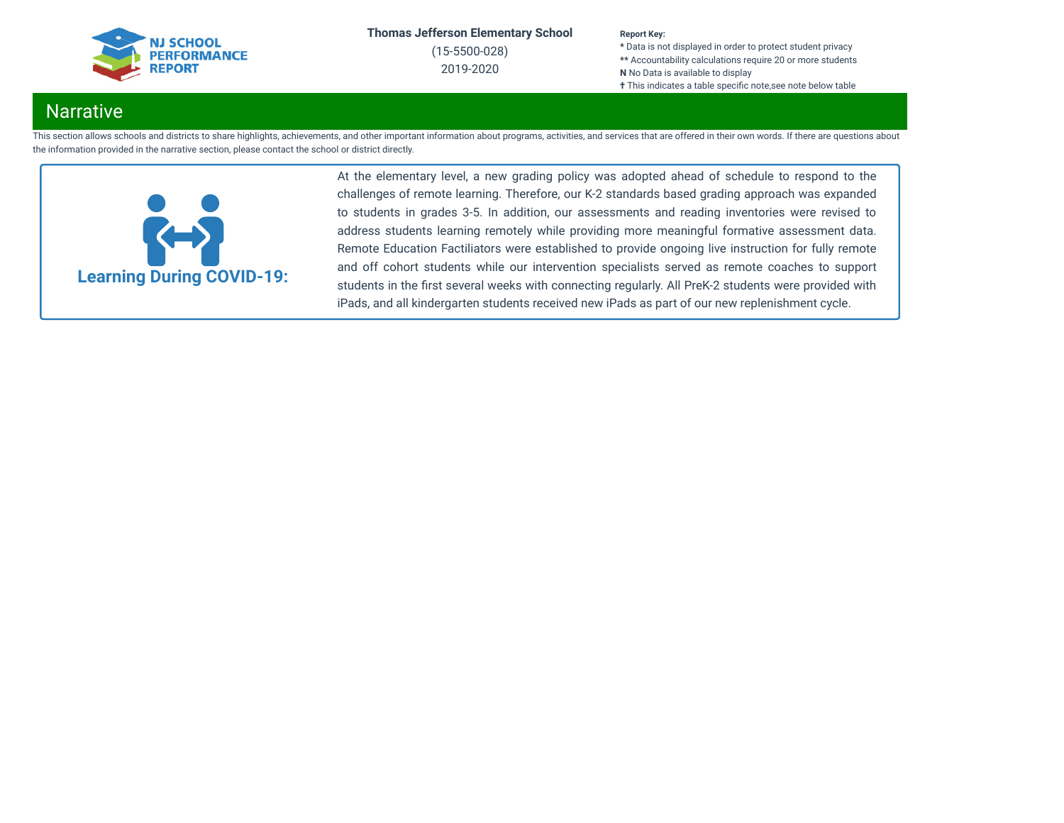

(15-5500-028) 2019-2020

#### **Report Key:**

**\*** Data is not displayed in order to protect student privacy **\*\*** Accountability calculations require 20 or more students **N** No Data is available to display **†** This indicates a table specific note, see note below table

# Narrative

This section allows schools and districts to share highlights, achievements, and other important information about programs, activities, and services that are offered in their own words. If there are questions about the information provided in the narrative section, please contact the school or district directly.



At the elementary level, a new grading policy was adopted ahead of schedule to respond to the challenges of remote learning. Therefore, our K-2 standards based grading approach was expanded to students in grades 3-5. In addition, our assessments and reading inventories were revised to address students learning remotely while providing more meaningful formative assessment data. Remote Education Factiliators were established to provide ongoing live instruction for fully remote and off cohort students while our intervention specialists served as remote coaches to support students in the first several weeks with connecting regularly. All PreK-2 students were provided with iPads, and all kindergarten students received new iPads as part of our new replenishment cycle.